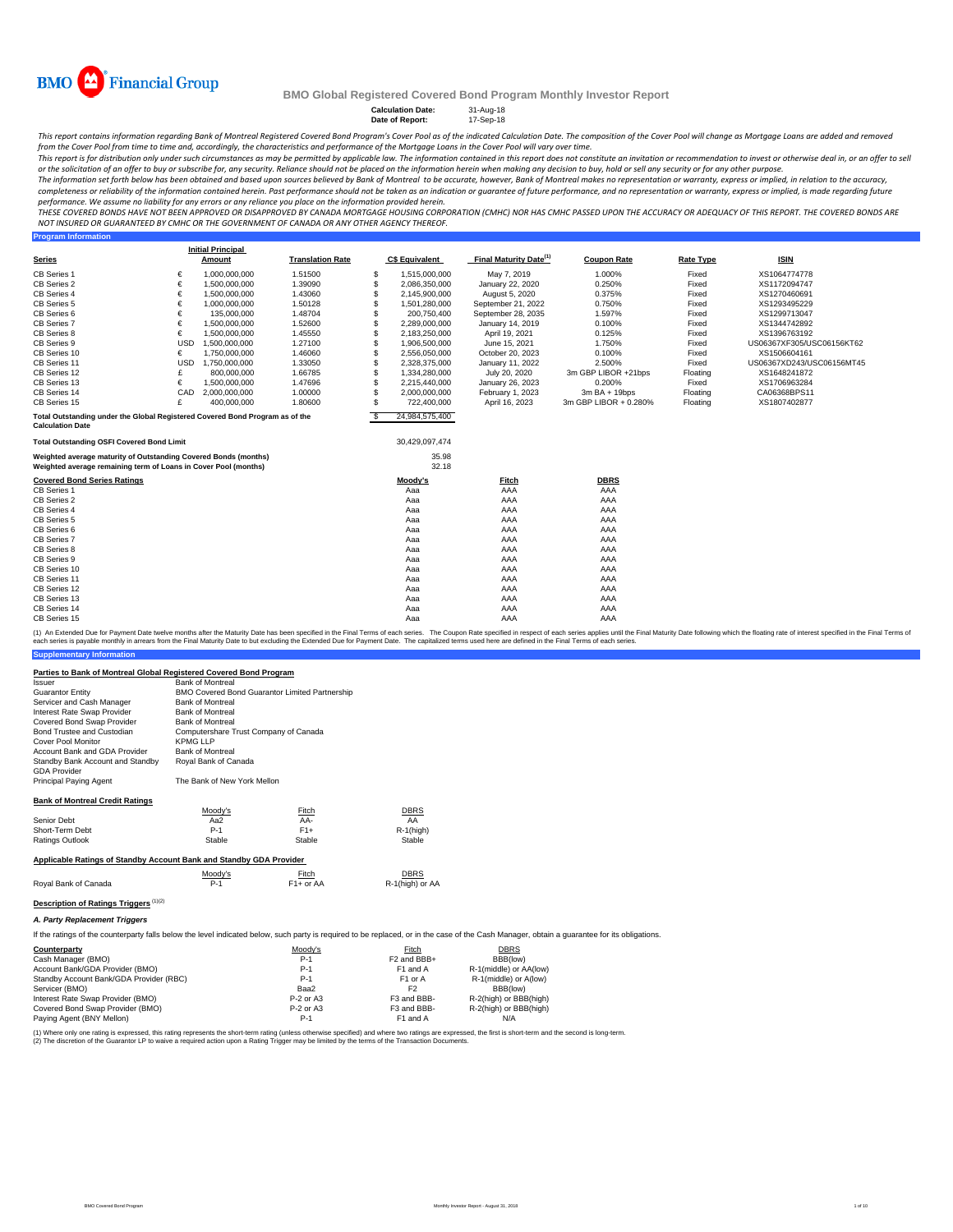

**Program Information**

## **BMO Global Registered Covered Bond Program Monthly Investor Report**

**Calculation Date:** 31-Aug-18 **Date of Report:** 17-Sep-18

This report contains information regarding Bank of Montreal Registered Covered Bond Program's Cover Pool as of the indicated Calculation Date. The composition of the Cover Pool will change as Mortgage Loans are added and r from the Cover Pool from time to time and, accordingly, the characteristics and performance of the Mortgage Loans in the Cover Pool will vary over time.

This report is for distribution only under such circumstances as may be permitted by applicable law. The information contained in this report does not constitute an invitation or recommendation to invest or otherwise deal

The information set forth below has been obtained and based upon sources believed by Bank of Montreal to be accurate, however, Bank of Montreal makes no representation or warranty, express or implied, in relation to the ac completeness or reliability of the information contained herein. Past performance should not be taken as an indication or guarantee of future performance, and no representation or warranty, express or implied, is made rega

THESE COVERED BONDS HAVE NOT BEEN APPROVED OR DISAPPROVED BY CANADA MORTGAGE HOUSING CORPORATION (CMHC) NOR HAS CMHC PASSED UPON THE ACCURACY OR ADEQUACY OF THIS REPORT. THE COVERED BONDS ARE<br>NOT INSURED OR GUARANTEED BY C

|                                                                              |            | <b>Initial Principal</b> |                         |          |                       |                                    |                       |                  |                           |
|------------------------------------------------------------------------------|------------|--------------------------|-------------------------|----------|-----------------------|------------------------------------|-----------------------|------------------|---------------------------|
| <b>Series</b>                                                                |            | Amount                   | <b>Translation Rate</b> |          | <b>C\$ Equivalent</b> | Final Maturity Date <sup>(1)</sup> | <b>Coupon Rate</b>    | <b>Rate Type</b> | <b>ISIN</b>               |
| CB Series 1                                                                  | €          | 1.000.000.000            | 1.51500                 | S        | 1,515,000,000         | May 7, 2019                        | 1.000%                | Fixed            | XS1064774778              |
| CB Series 2                                                                  | €          | 1.500.000.000            | 1.39090                 | S        | 2,086,350,000         | January 22, 2020                   | 0.250%                | Fixed            | XS1172094747              |
| CB Series 4                                                                  | €          | 1,500,000,000            | 1.43060                 | S        | 2,145,900,000         | August 5, 2020                     | 0.375%                | Fixed            | XS1270460691              |
| CB Series 5                                                                  | €          | 1.000.000.000            | 1.50128                 | S        | 1,501,280,000         | September 21, 2022                 | 0.750%                | Fixed            | XS1293495229              |
| CB Series 6                                                                  | €          | 135,000,000              | 1.48704                 | S        | 200,750,400           | September 28, 2035                 | 1.597%                | Fixed            | XS1299713047              |
| CB Series 7                                                                  | €          | 1,500,000,000            | 1.52600                 | S        | 2,289,000,000         | January 14, 2019                   | 0.100%                | Fixed            | XS1344742892              |
| CB Series 8                                                                  | €          | 1,500,000,000            | 1.45550                 | S        | 2,183,250,000         | April 19, 2021                     | 0.125%                | Fixed            | XS1396763192              |
| CB Series 9                                                                  | <b>USD</b> | 1,500,000,000            | 1.27100                 | S        | 1,906,500,000         | June 15, 2021                      | 1.750%                | Fixed            | US06367XF305/USC06156KT62 |
| CB Series 10                                                                 | €          | 1.750.000.000            | 1.46060                 | S        | 2.556.050.000         | October 20, 2023                   | 0.100%                | Fixed            | XS1506604161              |
| CB Series 11                                                                 | <b>USD</b> | 1,750,000,000            | 1.33050                 | S        | 2,328,375,000         | January 11, 2022                   | 2.500%                | Fixed            | US06367XD243/USC06156MT45 |
| CB Series 12                                                                 |            | 800.000.000              | 1.66785                 | S        | 1,334,280,000         | July 20, 2020                      | 3m GBP LIBOR +21bps   | Floating         | XS1648241872              |
| CB Series 13                                                                 | €          | 1.500.000.000            | 1.47696                 | S        | 2.215.440.000         | January 26, 2023                   | 0.200%                | Fixed            | XS1706963284              |
| CB Series 14                                                                 | CAD        | 2,000,000,000            | 1.00000                 | S        | 2,000,000,000         | February 1, 2023                   | $3mBA + 19bps$        | Floating         | CA06368BPS11              |
| CB Series 15                                                                 | £          | 400.000.000              | 1.80600                 | S        | 722,400,000           | April 16, 2023                     | 3m GBP LIBOR + 0.280% | Floating         | XS1807402877              |
| Total Outstanding under the Global Registered Covered Bond Program as of the |            |                          |                         | <b>S</b> | 24,984,575,400        |                                    |                       |                  |                           |
| <b>Calculation Date</b>                                                      |            |                          |                         |          |                       |                                    |                       |                  |                           |
| <b>Total Outstanding OSFI Covered Bond Limit</b>                             |            |                          |                         |          | 30,429,097,474        |                                    |                       |                  |                           |
| Weighted average maturity of Outstanding Covered Bonds (months)              |            |                          |                         |          | 35.98                 |                                    |                       |                  |                           |
| Weighted average remaining term of Loans in Cover Pool (months)              |            |                          |                         |          | 32.18                 |                                    |                       |                  |                           |
| <b>Covered Bond Series Ratings</b>                                           |            |                          |                         |          | Moody's               | Fitch                              | <b>DBRS</b>           |                  |                           |
| CB Series 1                                                                  |            |                          |                         |          | Aaa                   | AAA                                | AAA                   |                  |                           |
| CB Series 2                                                                  |            |                          |                         |          | Aaa                   | AAA                                | AAA                   |                  |                           |
| CB Series 4                                                                  |            |                          |                         |          | Aaa                   | AAA                                | AAA                   |                  |                           |
| CB Series 5                                                                  |            |                          |                         |          | Aaa                   | AAA                                | AAA                   |                  |                           |
| CB Series 6                                                                  |            |                          |                         |          | Aaa                   | AAA                                | AAA                   |                  |                           |
| CB Series 7                                                                  |            |                          |                         |          | Aaa                   | AAA                                | AAA                   |                  |                           |
| CB Series 8                                                                  |            |                          |                         |          | Aaa                   | AAA                                | AAA                   |                  |                           |
| CB Series 9                                                                  |            |                          |                         |          | Aaa                   | AAA                                | AAA                   |                  |                           |
| CB Series 10                                                                 |            |                          |                         |          | Aaa                   | AAA                                | AAA                   |                  |                           |
| CB Series 11                                                                 |            |                          |                         |          | Aaa                   | AAA                                | AAA                   |                  |                           |
| CB Series 12                                                                 |            |                          |                         |          | Aaa                   | AAA                                | AAA                   |                  |                           |
| CB Series 13                                                                 |            |                          |                         |          | Aaa                   | AAA                                | AAA                   |                  |                           |
| CB Series 14                                                                 |            |                          |                         |          | Aaa                   | AAA                                | AAA                   |                  |                           |
| CB Series 15                                                                 |            |                          |                         |          | Aaa                   | AAA                                | AAA                   |                  |                           |

**Supplementary Information** (1) An Extended Due for Payment Date twelve months after the Maturity Date has been specified in the Final Terms of each series. The Coupon Rate specified in the Final Maturity Date to but excluding the Extended Due for Pa

### **Parties to Bank of Montreal Global Registered Covered Bond Program**

| ando to Bank or montroar orobar registered ouvered Bond Frogram<br>Issuer                                                        | <b>Bank of Montreal</b>                        |                                       |                 |  |  |  |  |  |  |
|----------------------------------------------------------------------------------------------------------------------------------|------------------------------------------------|---------------------------------------|-----------------|--|--|--|--|--|--|
| <b>Guarantor Entity</b>                                                                                                          | BMO Covered Bond Guarantor Limited Partnership |                                       |                 |  |  |  |  |  |  |
| Servicer and Cash Manager                                                                                                        | <b>Bank of Montreal</b>                        |                                       |                 |  |  |  |  |  |  |
| Interest Rate Swap Provider                                                                                                      | <b>Bank of Montreal</b>                        |                                       |                 |  |  |  |  |  |  |
| Covered Bond Swap Provider                                                                                                       | <b>Bank of Montreal</b>                        |                                       |                 |  |  |  |  |  |  |
| Bond Trustee and Custodian                                                                                                       |                                                | Computershare Trust Company of Canada |                 |  |  |  |  |  |  |
| Cover Pool Monitor                                                                                                               | <b>KPMGLLP</b>                                 |                                       |                 |  |  |  |  |  |  |
| Account Bank and GDA Provider                                                                                                    | <b>Bank of Montreal</b>                        |                                       |                 |  |  |  |  |  |  |
| Standby Bank Account and Standby<br><b>GDA Provider</b>                                                                          | Royal Bank of Canada                           |                                       |                 |  |  |  |  |  |  |
| Principal Paying Agent                                                                                                           | The Bank of New York Mellon                    |                                       |                 |  |  |  |  |  |  |
| <b>Bank of Montreal Credit Ratings</b>                                                                                           |                                                |                                       |                 |  |  |  |  |  |  |
|                                                                                                                                  | Moody's                                        | Fitch                                 | <b>DBRS</b>     |  |  |  |  |  |  |
| Senior Debt                                                                                                                      | Aa2                                            | AA-                                   | AA              |  |  |  |  |  |  |
| Short-Term Debt                                                                                                                  | $P-1$                                          | $F1+$                                 | $R-1$ (high)    |  |  |  |  |  |  |
| Ratings Outlook                                                                                                                  | Stable                                         | Stable                                | Stable          |  |  |  |  |  |  |
| Applicable Ratings of Standby Account Bank and Standby GDA Provider                                                              |                                                |                                       |                 |  |  |  |  |  |  |
|                                                                                                                                  | Moody's                                        | Fitch                                 | <b>DBRS</b>     |  |  |  |  |  |  |
| Royal Bank of Canada                                                                                                             | $P-1$                                          | $F1+$ or AA                           | R-1(high) or AA |  |  |  |  |  |  |
| Description of Ratings Triggers (1)(2)                                                                                           |                                                |                                       |                 |  |  |  |  |  |  |
| A. Party Replacement Triggers                                                                                                    |                                                |                                       |                 |  |  |  |  |  |  |
| If the satisface of the corresponding falls below the largel indicated below, and contributed to be conferent on in the cases of |                                                |                                       |                 |  |  |  |  |  |  |

tings of the counterparty falls below the level indicated below, such party is required to be replaced, or in the case of the Cash Manager, obtain a guarantee for its obligations.

| Counterparty                            | Moody's     | Fitch                   | <b>DBRS</b>            |
|-----------------------------------------|-------------|-------------------------|------------------------|
| Cash Manager (BMO)                      | $P-1$       | F <sub>2</sub> and BBB+ | BBB(low)               |
| Account Bank/GDA Provider (BMO)         | $P-1$       | F1 and A                | R-1(middle) or AA(low) |
| Standby Account Bank/GDA Provider (RBC) | $P-1$       | F <sub>1</sub> or A     | R-1(middle) or A(low)  |
| Servicer (BMO)                          | Baa2        | F <sub>2</sub>          | BBB(low)               |
| Interest Rate Swap Provider (BMO)       | $P-2$ or A3 | F3 and BBB-             | R-2(high) or BBB(high) |
| Covered Bond Swap Provider (BMO)        | $P-2$ or A3 | F3 and BBB-             | R-2(high) or BBB(high) |
| Paying Agent (BNY Mellon)               | $P-1$       | F1 and A                | N/A                    |

(1) Where only one rating is expressed, this rating represents the short-term rating (unless otherwise specified) and where two ratings are expressed, the first is short-term and the second is long-term.<br>(2) The discretion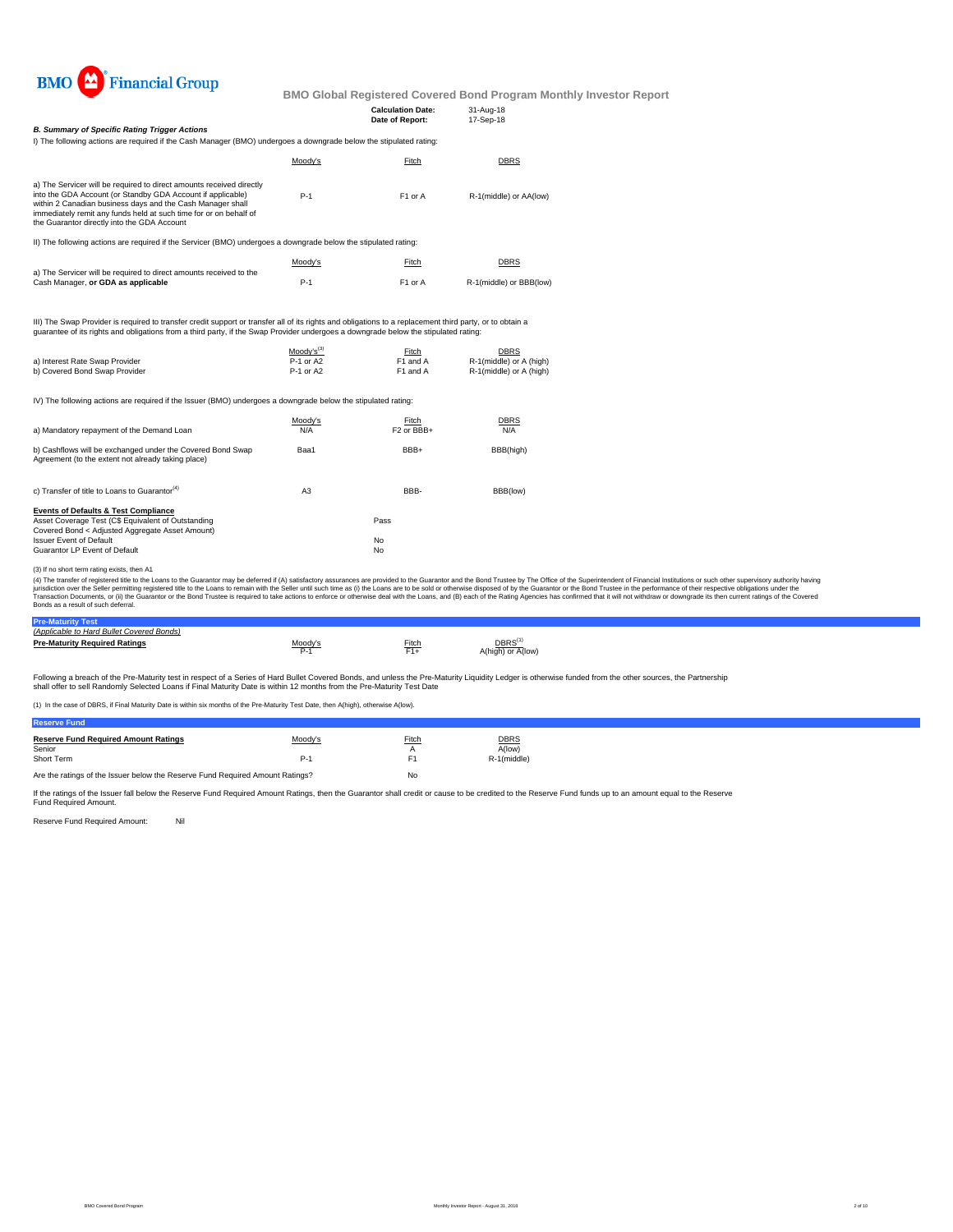

| <b>B. Summary of Specific Rating Trigger Actions</b>                                                                                                                                                                                                                                                                                |                                                  | <b>Calculation Date:</b><br>Date of Report: | 31-Aug-18<br>17-Sep-18                                            |                                                                                                                                                                                                                                                                                                                                                                                                                                                                  |
|-------------------------------------------------------------------------------------------------------------------------------------------------------------------------------------------------------------------------------------------------------------------------------------------------------------------------------------|--------------------------------------------------|---------------------------------------------|-------------------------------------------------------------------|------------------------------------------------------------------------------------------------------------------------------------------------------------------------------------------------------------------------------------------------------------------------------------------------------------------------------------------------------------------------------------------------------------------------------------------------------------------|
| I) The following actions are required if the Cash Manager (BMO) undergoes a downgrade below the stipulated rating:                                                                                                                                                                                                                  |                                                  |                                             |                                                                   |                                                                                                                                                                                                                                                                                                                                                                                                                                                                  |
|                                                                                                                                                                                                                                                                                                                                     | Moody's                                          | Fitch                                       | <b>DBRS</b>                                                       |                                                                                                                                                                                                                                                                                                                                                                                                                                                                  |
| a) The Servicer will be required to direct amounts received directly<br>into the GDA Account (or Standby GDA Account if applicable)<br>within 2 Canadian business days and the Cash Manager shall<br>immediately remit any funds held at such time for or on behalf of<br>the Guarantor directly into the GDA Account               | $P-1$                                            | F1 or A                                     | R-1(middle) or AA(low)                                            |                                                                                                                                                                                                                                                                                                                                                                                                                                                                  |
| II) The following actions are required if the Servicer (BMO) undergoes a downgrade below the stipulated rating:                                                                                                                                                                                                                     |                                                  |                                             |                                                                   |                                                                                                                                                                                                                                                                                                                                                                                                                                                                  |
|                                                                                                                                                                                                                                                                                                                                     | Moody's                                          | Fitch                                       | <b>DBRS</b>                                                       |                                                                                                                                                                                                                                                                                                                                                                                                                                                                  |
| a) The Servicer will be required to direct amounts received to the<br>Cash Manager, or GDA as applicable                                                                                                                                                                                                                            | $P-1$                                            | F1 or A                                     | R-1(middle) or BBB(low)                                           |                                                                                                                                                                                                                                                                                                                                                                                                                                                                  |
| III) The Swap Provider is required to transfer credit support or transfer all of its rights and obligations to a replacement third party, or to obtain a<br>guarantee of its rights and obligations from a third party, if the Swap Provider undergoes a downgrade below the stipulated rating:                                     |                                                  |                                             |                                                                   |                                                                                                                                                                                                                                                                                                                                                                                                                                                                  |
| a) Interest Rate Swap Provider<br>b) Covered Bond Swap Provider                                                                                                                                                                                                                                                                     | Moody's <sup>(3)</sup><br>P-1 or A2<br>P-1 or A2 | Fitch<br>F1 and A<br>F1 and A               | <b>DBRS</b><br>R-1(middle) or A (high)<br>R-1(middle) or A (high) |                                                                                                                                                                                                                                                                                                                                                                                                                                                                  |
| IV) The following actions are required if the Issuer (BMO) undergoes a downgrade below the stipulated rating:                                                                                                                                                                                                                       |                                                  |                                             |                                                                   |                                                                                                                                                                                                                                                                                                                                                                                                                                                                  |
| a) Mandatory repayment of the Demand Loan                                                                                                                                                                                                                                                                                           | Moody's<br>N/A                                   | Fitch<br>F <sub>2</sub> or BBB+             | <b>DBRS</b><br>N/A                                                |                                                                                                                                                                                                                                                                                                                                                                                                                                                                  |
| b) Cashflows will be exchanged under the Covered Bond Swap<br>Agreement (to the extent not already taking place)                                                                                                                                                                                                                    | Baa1                                             | BBB+                                        | BBB(high)                                                         |                                                                                                                                                                                                                                                                                                                                                                                                                                                                  |
| c) Transfer of title to Loans to Guarantor <sup>(4)</sup>                                                                                                                                                                                                                                                                           | A <sub>3</sub>                                   | BBB-                                        | BBB(low)                                                          |                                                                                                                                                                                                                                                                                                                                                                                                                                                                  |
| <b>Events of Defaults &amp; Test Compliance</b><br>Asset Coverage Test (C\$ Equivalent of Outstanding<br>Covered Bond < Adjusted Aggregate Asset Amount)<br><b>Issuer Event of Default</b><br>Guarantor LP Event of Default                                                                                                         |                                                  | Pass<br>No<br>No                            |                                                                   |                                                                                                                                                                                                                                                                                                                                                                                                                                                                  |
| (3) If no short term rating exists, then A1<br>jurisdiction over the Seller permitting registered title to the Loans to remain with the Seller until such time as (i) the Loans are to be sold or otherwise disposed of by the Guarantor or the Bond Trustee in the performan<br>Bonds as a result of such deferral.                |                                                  |                                             |                                                                   | (4) The transfer of registered title to the Loans to the Guarantor may be deferred if (A) satisfactory assurances are provided to the Guarantor and the Bond Trustee by The Office of the Superintendent of Financial Institut<br>Transaction Documents, or (ii) the Guarantor or the Bond Trustee is required to take actions to enforce or otherwise deal with the Loans, and (B) each of the Rating Agencies has confirmed that it will not withdraw or downg |
| <b>Pre-Maturity Test</b>                                                                                                                                                                                                                                                                                                            |                                                  |                                             |                                                                   |                                                                                                                                                                                                                                                                                                                                                                                                                                                                  |
| (Applicable to Hard Bullet Covered Bonds)<br><b>Pre-Maturity Required Ratings</b>                                                                                                                                                                                                                                                   | Moody's<br>$P-1$                                 | Fitch<br>$F1+$                              | DBRS <sup>(1)</sup><br>A(high) or A(low)                          |                                                                                                                                                                                                                                                                                                                                                                                                                                                                  |
| Following a breach of the Pre-Maturity test in respect of a Series of Hard Bullet Covered Bonds, and unless the Pre-Maturity Liquidity Ledger is otherwise funded from the other sources, the Partnership<br>shall offer to sell Randomly Selected Loans if Final Maturity Date is within 12 months from the Pre-Maturity Test Date |                                                  |                                             |                                                                   |                                                                                                                                                                                                                                                                                                                                                                                                                                                                  |

(1) In the case of DBRS, if Final Maturity Date is within six months of the Pre-Maturity Test Date, then A(high), otherwise A(low).

| <b>TRANSPORT IN THE</b>                     |         |              |             |  |
|---------------------------------------------|---------|--------------|-------------|--|
| <b>Reserve Fund Required Amount Ratings</b> | Moody's | Fitch        | <b>DBRS</b> |  |
| Senior                                      |         | $\mathsf{A}$ | A(low)      |  |
| Short Term                                  | P.      |              | R-1(middle) |  |
|                                             |         |              |             |  |

Are the ratings of the Issuer below the Reserve Fund Required Amount Ratings? No

If the ratings of the Issuer fall below the Reserve Fund Required Amount Ratings, then the Guarantor shall credit or cause to be credited to the Reserve Fund funds up to an amount equal to the Reserve Fund Required Amount.

Reserve Fund Required Amount: Nil

**Reserve Fund**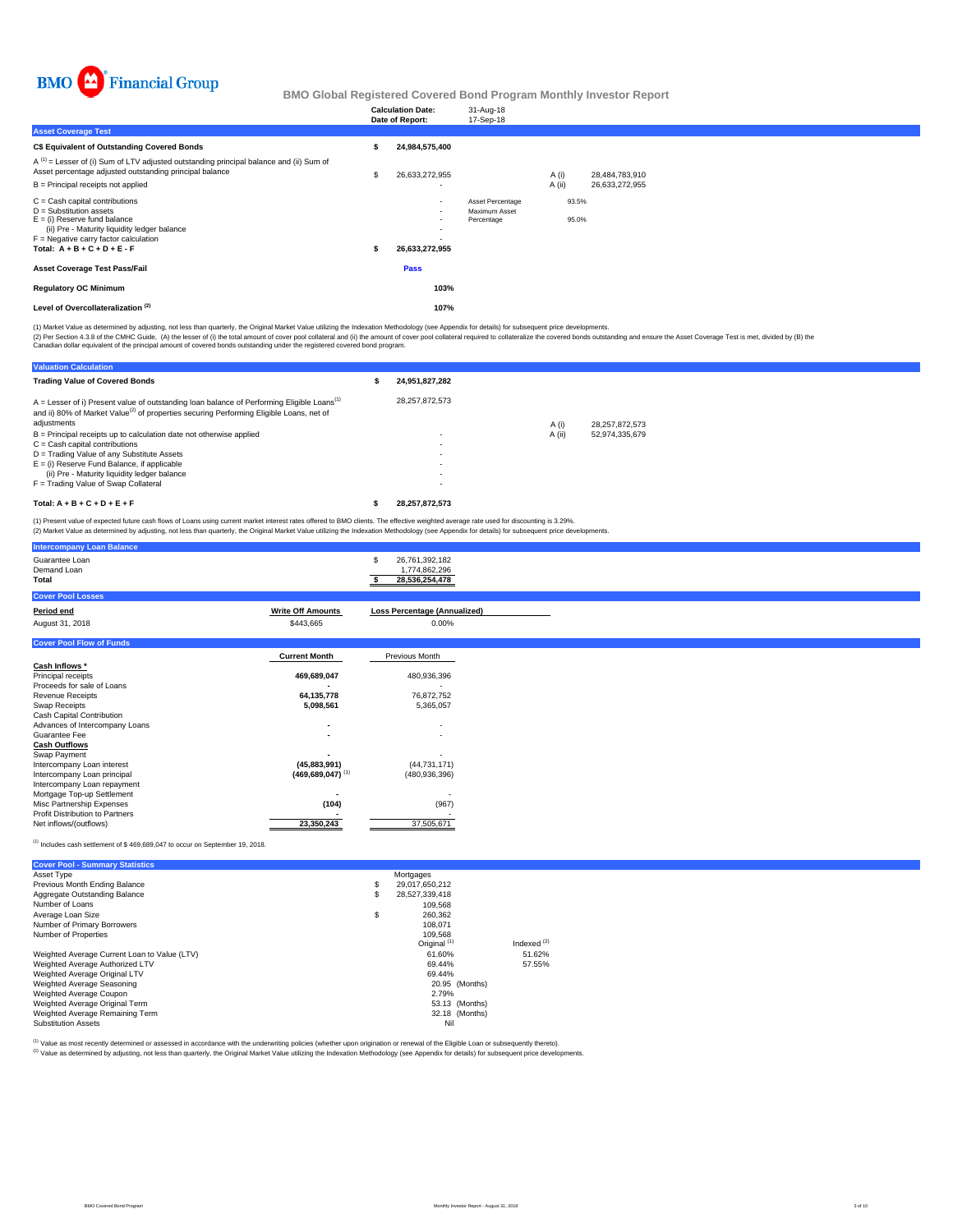

|                                                                                                                                                                                                                              | <b>Calculation Date:</b><br>Date of Report:                                           | 31-Aug-18<br>17-Sep-18                          |                |                |  |  |
|------------------------------------------------------------------------------------------------------------------------------------------------------------------------------------------------------------------------------|---------------------------------------------------------------------------------------|-------------------------------------------------|----------------|----------------|--|--|
| <b>Asset Coverage Test</b>                                                                                                                                                                                                   |                                                                                       |                                                 |                |                |  |  |
| C\$ Equivalent of Outstanding Covered Bonds                                                                                                                                                                                  | 24,984,575,400                                                                        |                                                 |                |                |  |  |
| $A^{(1)}$ = Lesser of (i) Sum of LTV adjusted outstanding principal balance and (ii) Sum of<br>Asset percentage adjusted outstanding principal balance                                                                       | 26,633,272,955                                                                        |                                                 | A (i)          | 28,484,783,910 |  |  |
| B = Principal receipts not applied                                                                                                                                                                                           | $\overline{\phantom{a}}$                                                              |                                                 | A (ii)         | 26,633,272,955 |  |  |
| $C =$ Cash capital contributions<br>$D =$ Substitution assets<br>$E =$ (i) Reserve fund balance<br>(ii) Pre - Maturity liquidity ledger balance<br>$F =$ Negative carry factor calculation<br>Total: $A + B + C + D + E - F$ | $\sim$<br>$\overline{\phantom{a}}$<br>$\overline{\phantom{a}}$<br>۰<br>26,633,272,955 | Asset Percentage<br>Maximum Asset<br>Percentage | 93.5%<br>95.0% |                |  |  |
| <b>Asset Coverage Test Pass/Fail</b>                                                                                                                                                                                         | Pass                                                                                  |                                                 |                |                |  |  |
| <b>Regulatory OC Minimum</b>                                                                                                                                                                                                 | 103%                                                                                  |                                                 |                |                |  |  |
| Level of Overcollateralization <sup>(2)</sup>                                                                                                                                                                                | 107%                                                                                  |                                                 |                |                |  |  |

(1) Market Value as determined by adjusting, not less than quarterly, the Original Market Value utilizing the Indexation Methodology (see Appendix for details) for subsequent price developments.

(2) Per Section 4.3.8 of the CMHC Guide, (A) the lesser of (i) the total amount of cover pool collateral and (ii) the amount of cover pool collateral required to collateralize the covered bonds outstanding and ensure the A

| <b>Valuation Calculation</b>                                                                                                                                                                                                   |                |        |                |
|--------------------------------------------------------------------------------------------------------------------------------------------------------------------------------------------------------------------------------|----------------|--------|----------------|
| <b>Trading Value of Covered Bonds</b>                                                                                                                                                                                          | 24.951.827.282 |        |                |
| $A =$ Lesser of i) Present value of outstanding loan balance of Performing Eligible Loans <sup>(1)</sup><br>and ii) 80% of Market Value <sup>(2)</sup> of properties securing Performing Eligible Loans, net of<br>adjustments | 28.257.872.573 | A(i)   | 28.257.872.573 |
| $B =$ Principal receipts up to calculation date not otherwise applied                                                                                                                                                          |                | A (ii) | 52.974.335.679 |
| $C =$ Cash capital contributions                                                                                                                                                                                               | $\sim$         |        |                |
| D = Trading Value of any Substitute Assets                                                                                                                                                                                     |                |        |                |
| $E =$ (i) Reserve Fund Balance, if applicable                                                                                                                                                                                  |                |        |                |
| (ii) Pre - Maturity liquidity ledger balance                                                                                                                                                                                   |                |        |                |
| F = Trading Value of Swap Collateral                                                                                                                                                                                           |                |        |                |
| Total: $A + B + C + D + E + F$                                                                                                                                                                                                 | 28.257.872.573 |        |                |

(1) Present value of expected future cash flows of Loans using current market interest rates offered to BMO clients. The effective weighted average rate used for discounting is 3.29%.<br>(2) Market Value as determined by adju

| <b>Intercompany Loan Balance</b>       |                                  |                                                        |
|----------------------------------------|----------------------------------|--------------------------------------------------------|
| Guarantee Loan<br>Demand Loan<br>Total |                                  | 26,761,392,182<br>S<br>1,774,862,296<br>28,536,254,478 |
| <b>Cover Pool Losses</b>               |                                  |                                                        |
| Period end                             | <b>Write Off Amounts</b>         | <b>Loss Percentage (Annualized)</b>                    |
| August 31, 2018                        | \$443,665                        | $0.00\%$                                               |
| <b>Cover Pool Flow of Funds</b>        |                                  |                                                        |
|                                        | <b>Current Month</b>             | Previous Month                                         |
| Cash Inflows *                         |                                  |                                                        |
| Principal receipts                     | 469,689,047                      | 480,936,396                                            |
| Proceeds for sale of Loans             |                                  |                                                        |
| <b>Revenue Receipts</b>                | 64,135,778                       | 76,872,752                                             |
| Swap Receipts                          | 5,098,561                        | 5,365,057                                              |
| Cash Capital Contribution              |                                  |                                                        |
| Advances of Intercompany Loans         |                                  | $\overline{\phantom{a}}$                               |
| Guarantee Fee                          |                                  | ٠                                                      |
| <b>Cash Outflows</b><br>Swap Payment   |                                  |                                                        |
| Intercompany Loan interest             | (45,883,991)                     | (44, 731, 171)                                         |
| Intercompany Loan principal            | $(469, 689, 047)$ <sup>(1)</sup> | (480, 936, 396)                                        |
| Intercompany Loan repayment            |                                  |                                                        |
| Mortgage Top-up Settlement             |                                  |                                                        |
| Misc Partnership Expenses              | (104)                            | (967)                                                  |
| Profit Distribution to Partners        |                                  |                                                        |
| Net inflows/(outflows)                 | 23,350,243                       | 37,505,671                                             |

## $^{(1)}$  Includes cash settlement of \$ 469,689,047 to occur on September 19, 2018.

| <b>Cover Pool - Summary Statistics</b>       |    |                         |               |
|----------------------------------------------|----|-------------------------|---------------|
| Asset Type                                   |    | Mortgages               |               |
| Previous Month Ending Balance                | \$ | 29.017.650.212          |               |
| Aggregate Outstanding Balance                | S  | 28.527.339.418          |               |
| Number of Loans                              |    | 109.568                 |               |
| Average Loan Size                            | \$ | 260.362                 |               |
| Number of Primary Borrowers                  |    | 108.071                 |               |
| Number of Properties                         |    | 109.568                 |               |
|                                              |    | Original <sup>(1)</sup> | Indexed $(2)$ |
| Weighted Average Current Loan to Value (LTV) |    | 61.60%                  | 51.62%        |
| Weighted Average Authorized LTV              |    | 69.44%                  | 57.55%        |
| Weighted Average Original LTV                |    | 69.44%                  |               |
| Weighted Average Seasoning                   |    | 20.95 (Months)          |               |
| Weighted Average Coupon                      |    | 2.79%                   |               |
| Weighted Average Original Term               |    | 53.13 (Months)          |               |
| Weighted Average Remaining Term              |    | 32.18 (Months)          |               |
| <b>Substitution Assets</b>                   |    | Nil                     |               |

(1) Value as most recently determined or assessed in accordance with the underwriting policies (whether upon origination or renewal of the Eligible Loan or subsequently thereto).

Value as incorrection documents of documents in the children as the children of the United States of the Indexation Methodology (see Appendix for details) for subsequent price developments.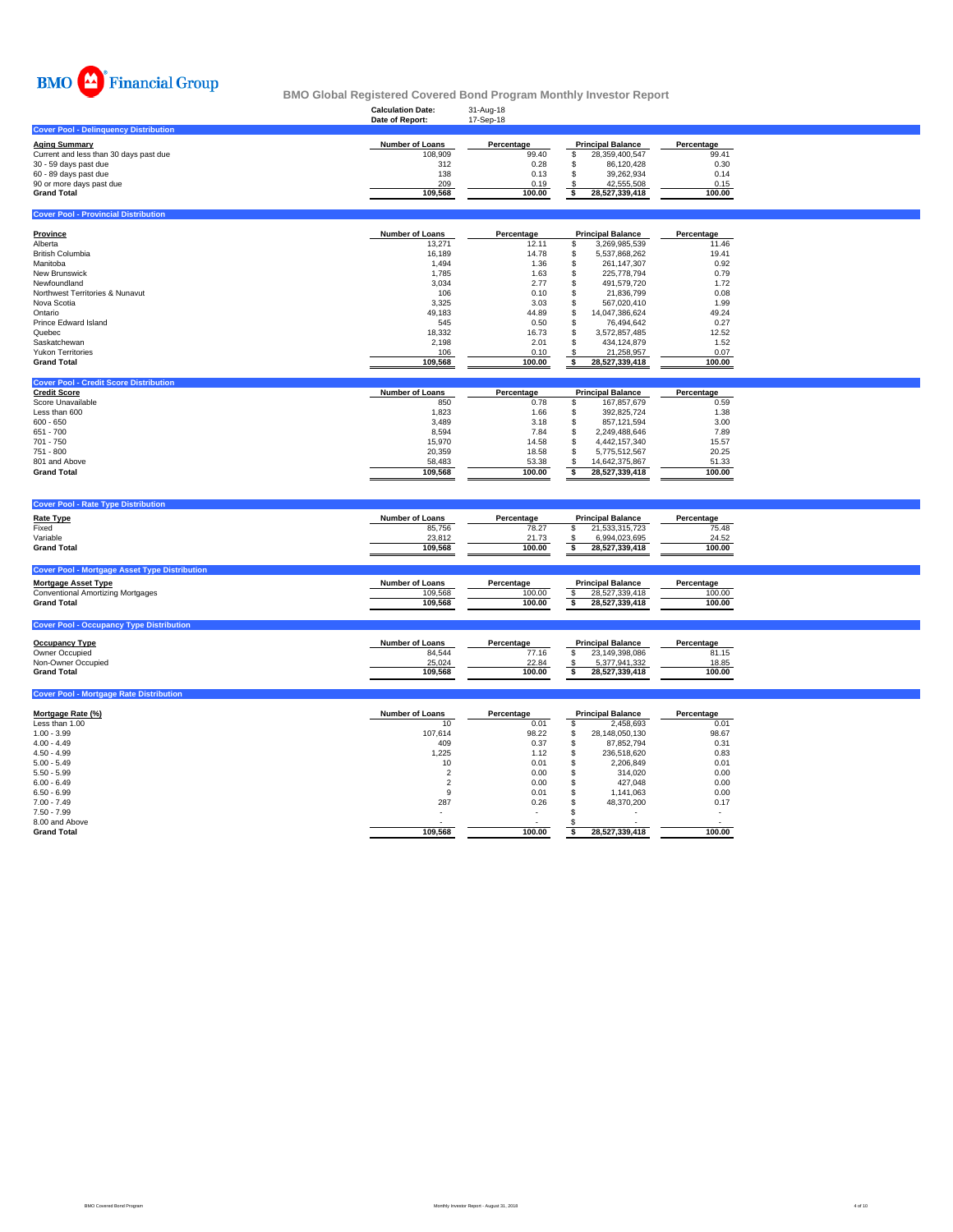

**Cover Pool - Provincial Distril** 

## **Calculation Date:** 31-Aug-18 **BMO Global Registered Covered Bond Program Monthly Investor Report**

|                                              | Date of Report: | 17-Sep-18  |                          |                |            |
|----------------------------------------------|-----------------|------------|--------------------------|----------------|------------|
| <b>Cover Pool - Delinguency Distribution</b> |                 |            |                          |                |            |
| Aging Summary                                | Number of Loans | Percentage | <b>Principal Balance</b> |                | Percentage |
| Current and less than 30 days past due       | 108,909         | 99.40      |                          | 28.359.400.547 | 99.41      |
| 30 - 59 days past due                        | 312             | 0.28       |                          | 86.120.428     | 0.30       |
| 60 - 89 days past due                        | 138             | 0.13       |                          | 39.262.934     | 0.14       |
| 90 or more days past due                     | 209             | 0.19       |                          | 42.555.508     | 0.15       |
| Grand Total                                  | 109.568         | 100.00     |                          | 28.527.339.418 | 100.00     |
|                                              |                 |            |                          |                |            |

| Province                        | Number of Loans | Percentage | <b>Principal Balance</b> |                | Percentage |
|---------------------------------|-----------------|------------|--------------------------|----------------|------------|
| Alberta                         | 13.271          | 12.11      |                          | 3.269.985.539  | 11.46      |
| <b>British Columbia</b>         | 16.189          | 14.78      |                          | 5.537.868.262  | 19.41      |
| Manitoba                        | 1.494           | 1.36       |                          | 261.147.307    | 0.92       |
| New Brunswick                   | 1.785           | 1.63       | ъ                        | 225.778.794    | 0.79       |
| Newfoundland                    | 3,034           | 2.77       |                          | 491.579.720    | 1.72       |
| Northwest Territories & Nunavut | 106             | 0.10       |                          | 21.836.799     | 0.08       |
| Nova Scotia                     | 3,325           | 3.03       |                          | 567.020.410    | 1.99       |
| Ontario                         | 49,183          | 44.89      | S                        | 14.047.386.624 | 49.24      |
| Prince Edward Island            | 545             | 0.50       |                          | 76.494.642     | 0.27       |
| Quebec                          | 18,332          | 16.73      | S                        | 3.572.857.485  | 12.52      |
| Saskatchewan                    | 2.198           | 2.01       |                          | 434.124.879    | 1.52       |
| <b>Yukon Territories</b>        | 106             | 0.10       |                          | 21.258.957     | 0.07       |
| <b>Grand Total</b>              | 109,568         | 100.00     |                          | 28,527,339,418 | 100.00     |

| <b>Cover Pool - Credit Score Distribution</b> |                 |            |                          |                |            |
|-----------------------------------------------|-----------------|------------|--------------------------|----------------|------------|
| <b>Credit Score</b>                           | Number of Loans | Percentage | <b>Principal Balance</b> |                | Percentage |
| Score Unavailable                             | 850             | 0.78       |                          | 167.857.679    | 0.59       |
| Less than 600                                 | 1.823           | 1.66       |                          | 392.825.724    | 1.38       |
| $600 - 650$                                   | 3.489           | 3.18       |                          | 857.121.594    | 3.00       |
| 651 - 700                                     | 8.594           | 7.84       |                          | 2.249.488.646  | 7.89       |
| 701 - 750                                     | 15.970          | 14.58      |                          | 4.442.157.340  | 15.57      |
| 751 - 800                                     | 20,359          | 18.58      |                          | 5.775.512.567  | 20.25      |
| 801 and Above                                 | 58.483          | 53.38      |                          | 14.642.375.867 | 51.33      |
| <b>Grand Total</b>                            | 109.568         | 100.00     |                          | 28.527.339.418 | 100.00     |

| <b>Cover Pool - Rate Type Distribution</b>                                         |                        |            |                          |            |
|------------------------------------------------------------------------------------|------------------------|------------|--------------------------|------------|
| <b>Rate Type</b>                                                                   | <b>Number of Loans</b> | Percentage | <b>Principal Balance</b> | Percentage |
| Fixed                                                                              | 85.756                 | 78.27      | 21,533,315,723           | 75.48      |
| Variable                                                                           | 23,812                 | 21.73      | 6,994,023,695            | 24.52      |
| <b>Grand Total</b>                                                                 | 109.568                | 100.00     | 28.527.339.418           | 100.00     |
|                                                                                    |                        |            |                          |            |
|                                                                                    |                        |            |                          |            |
|                                                                                    |                        |            |                          |            |
| <b>Cover Pool - Mortgage Asset Type Distribution</b><br><b>Mortgage Asset Type</b> | <b>Number of Loans</b> | Percentage | <b>Principal Balance</b> | Percentage |
| <b>Conventional Amortizing Mortgages</b>                                           | 109.568                | 100.00     | 28.527.339.418           | 100.00     |
| <b>Grand Total</b>                                                                 | 109.568                | 100.00     | 28.527.339.418           | 100.00     |

| <b>Cover Pool - Occupancy Type Distribution</b> |                 |            |                          |            |
|-------------------------------------------------|-----------------|------------|--------------------------|------------|
| <b>Occupancy Type</b>                           | Number of Loans | Percentage | <b>Principal Balance</b> | Percentage |
| Owner Occupied                                  | 84.544          | 77.16      | 23.149.398.086           | 81.15      |
| Non-Owner Occupied                              | 25.024          | 22.84      | 5.377.941.332            | 18.85      |
| <b>Grand Total</b>                              | 109.568         | 100.00     | 28.527.339.418           | 100.00     |

| <b>Cover Pool - Mortgage Rate Distribution</b> |                        |            |                          |            |
|------------------------------------------------|------------------------|------------|--------------------------|------------|
| Mortgage Rate (%)                              | <b>Number of Loans</b> | Percentage | <b>Principal Balance</b> | Percentage |
| Less than 1.00                                 | 10                     | 0.01       | 2.458.693                | 0.01       |
| $1.00 - 3.99$                                  | 107,614                | 98.22      | 28,148,050,130           | 98.67      |
| $4.00 - 4.49$                                  | 409                    | 0.37       | 87.852.794               | 0.31       |
| $4.50 - 4.99$                                  | 1,225                  | 1.12       | 236.518.620              | 0.83       |
| $5.00 - 5.49$                                  | 10                     | 0.01       | 2,206,849                | 0.01       |
| $5.50 - 5.99$                                  |                        | 0.00       | 314.020                  | 0.00       |
| $6.00 - 6.49$                                  |                        | 0.00       | 427.048                  | 0.00       |
| $6.50 - 6.99$                                  | 9                      | 0.01       | 1.141.063                | 0.00       |
| $7.00 - 7.49$                                  | 287                    | 0.26       | 48.370.200               | 0.17       |
| $7.50 - 7.99$                                  |                        | $\sim$     | ۰                        |            |
| 8.00 and Above                                 |                        |            |                          |            |
| <b>Grand Total</b>                             | 109,568                | 100.00     | 28,527,339,418           | 100.00     |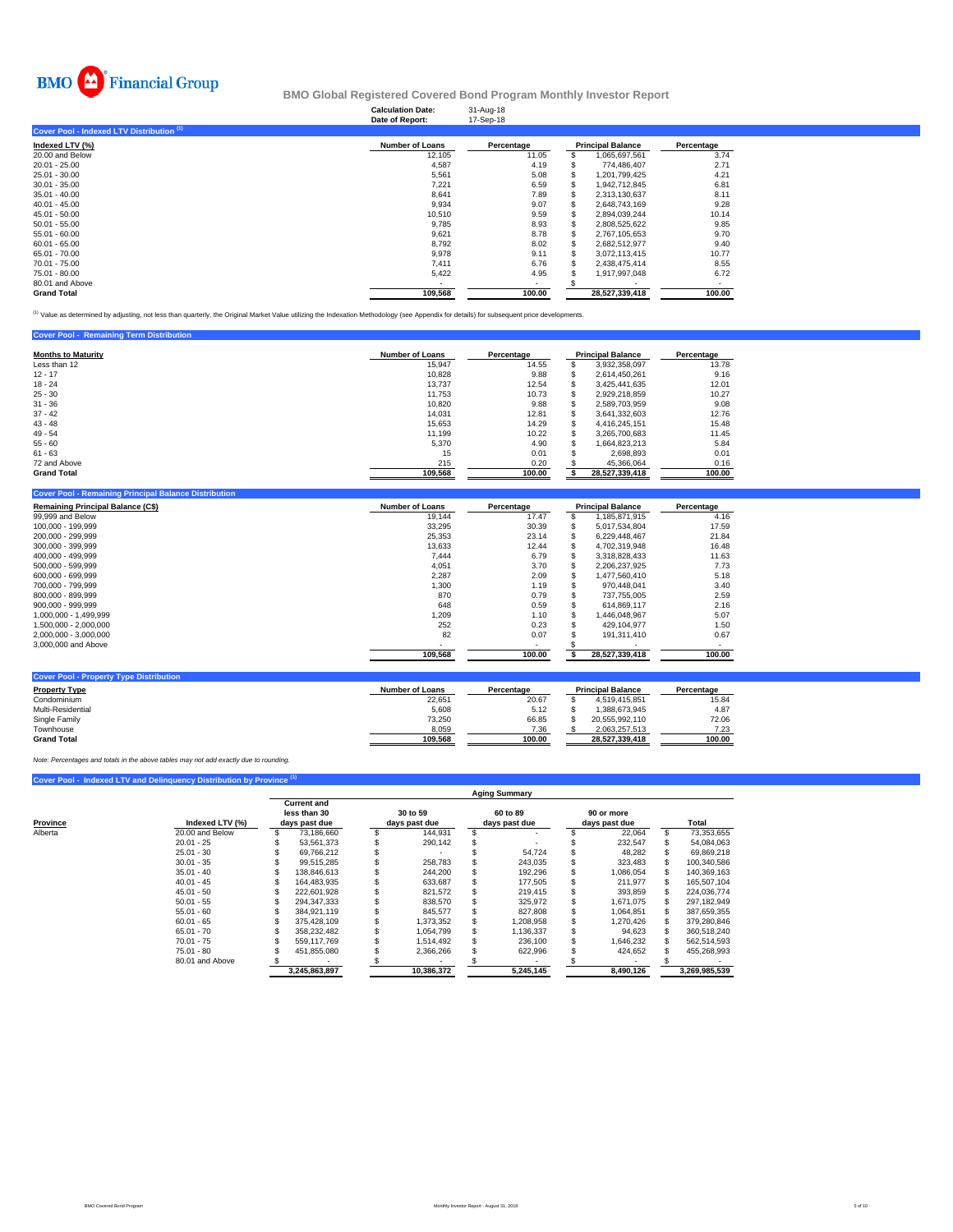

## **Calculation Date:** 31-Aug-18 **BMO Global Registered Covered Bond Program Monthly Investor Report**

|                                           | Date of Report:        | 17-Sep-18  |   |                          |            |
|-------------------------------------------|------------------------|------------|---|--------------------------|------------|
| Cover Pool - Indexed LTV Distribution (1) |                        |            |   |                          |            |
| Indexed LTV (%)                           | <b>Number of Loans</b> | Percentage |   | <b>Principal Balance</b> | Percentage |
| 20.00 and Below                           | 12,105                 | 11.05      |   | 1,065,697,561            | 3.74       |
| $20.01 - 25.00$                           | 4,587                  | 4.19       |   | 774.486.407              | 2.71       |
| 25.01 - 30.00                             | 5,561                  | 5.08       |   | 1.201.799.425            | 4.21       |
| $30.01 - 35.00$                           | 7,221                  | 6.59       |   | 1.942.712.845            | 6.81       |
| $35.01 - 40.00$                           | 8,641                  | 7.89       |   | 2,313,130,637            | 8.11       |
| $40.01 - 45.00$                           | 9,934                  | 9.07       |   | 2.648.743.169            | 9.28       |
| $45.01 - 50.00$                           | 10,510                 | 9.59       |   | 2,894,039,244            | 10.14      |
| $50.01 - 55.00$                           | 9,785                  | 8.93       |   | 2,808,525,622            | 9.85       |
| $55.01 - 60.00$                           | 9,621                  | 8.78       | ъ | 2.767.105.653            | 9.70       |
| $60.01 - 65.00$                           | 8,792                  | 8.02       |   | 2,682,512,977            | 9.40       |
| 65.01 - 70.00                             | 9,978                  | 9.11       |   | 3.072.113.415            | 10.77      |
| 70.01 - 75.00                             | 7,411                  | 6.76       |   | 2,438,475,414            | 8.55       |
| 75.01 - 80.00                             | 5,422                  | 4.95       |   | 1,917,997,048            | 6.72       |
| 80.01 and Above                           |                        |            |   |                          |            |
| <b>Grand Total</b>                        | 109,568                | 100.00     |   | 28.527.339.418           | 100.00     |

<sup>(1)</sup> Value as determined by adjusting, not less than quarterly, the Original Market Value utilizing the Indexation Methodology (see Appendix for details) for subsequent price developments.

| <b>Cover Pool - Remaining Term Distribution</b> |                        |            |                          |            |
|-------------------------------------------------|------------------------|------------|--------------------------|------------|
| <b>Months to Maturity</b>                       | <b>Number of Loans</b> | Percentage | <b>Principal Balance</b> | Percentage |
| Less than 12                                    | 15.947                 | 14.55      | 3.932.358.097            | 13.78      |
| $12 - 17$                                       | 10,828                 | 9.88       | 2.614.450.261            | 9.16       |
| $18 - 24$                                       | 13.737                 | 12.54      | 3.425.441.635            | 12.01      |
| $25 - 30$                                       | 11.753                 | 10.73      | 2.929.218.859            | 10.27      |
| $31 - 36$                                       | 10.820                 | 9.88       | 2.589.703.959            | 9.08       |
| $37 - 42$                                       | 14.031                 | 12.81      | 3.641.332.603            | 12.76      |
| $43 - 48$                                       | 15.653                 | 14.29      | 4.416.245.151            | 15.48      |
| $49 - 54$                                       | 11.199                 | 10.22      | 3.265.700.683            | 11.45      |
| $55 - 60$                                       | 5.370                  | 4.90       | 1.664.823.213            | 5.84       |
| $61 - 63$                                       | 15                     | 0.01       | 2.698.893                | 0.01       |
| 72 and Above                                    | 215                    | 0.20       | 45.366.064               | 0.16       |
| <b>Grand Total</b>                              | 109,568                | 100.00     | 28,527,339,418           | 100.00     |

| <b>Remaining Principal Balance (C\$)</b> | <b>Number of Loans</b> | Percentage |     | <b>Principal Balance</b> | Percentage |
|------------------------------------------|------------------------|------------|-----|--------------------------|------------|
| 99,999 and Below                         | 19,144                 | 17.47      |     | 1,185,871,915            | 4.16       |
| 100.000 - 199.999                        | 33,295                 | 30.39      |     | 5,017,534,804            | 17.59      |
| 200.000 - 299.999                        | 25,353                 | 23.14      |     | 6.229.448.467            | 21.84      |
| 300.000 - 399.999                        | 13,633                 | 12.44      |     | 4.702.319.948            | 16.48      |
| 400.000 - 499.999                        | 7.444                  | 6.79       |     | 3.318.828.433            | 11.63      |
| 500.000 - 599.999                        | 4,051                  | 3.70       |     | 2,206,237,925            | 7.73       |
| 600.000 - 699.999                        | 2,287                  | 2.09       | Эħ. | 1.477.560.410            | 5.18       |
| 700.000 - 799.999                        | 1,300                  | 1.19       | ж   | 970.448.041              | 3.40       |
| 800.000 - 899.999                        | 870                    | 0.79       | Эħ. | 737.755.005              | 2.59       |
| $900.000 - 999.999$                      | 648                    | 0.59       |     | 614.869.117              | 2.16       |
| 1.000.000 - 1.499.999                    | 1,209                  | 1.10       |     | 446.048.967              | 5.07       |
| 1.500.000 - 2.000.000                    | 252                    | 0.23       |     | 429.104.977              | 1.50       |
| 2,000,000 - 3,000,000                    | 82                     | 0.07       |     | 191.311.410              | 0.67       |
| 3,000,000 and Above                      |                        | $\sim$     |     |                          |            |
|                                          | 109,568                | 100.00     |     | 28,527,339,418           | 100.00     |

| <b>Cover Pool - Property Type Distribution</b> |                 |            |                          |            |
|------------------------------------------------|-----------------|------------|--------------------------|------------|
| <b>Property Type</b>                           | Number of Loans | Percentage | <b>Principal Balance</b> | Percentage |
| Condominium                                    | 22.651          | 20.67      | 4.519.415.851            | 15.84      |
| Multi-Residential                              | 5.608           | 5.12       | 1.388.673.945            | 4.87       |
| Single Family                                  | 73.250          | 66.85      | 20.555.992.110           | 72.06      |
| Townhouse                                      | 8,059           | 7.36       | 2.063.257.513            | 7.23       |
| <b>Grand Total</b>                             | 109.568         | 100.00     | 28.527.339.418           | 100.00     |

*Note: Percentages and totals in the above tables may not add exactly due to rounding.*

## **Cover Pool - Indexed LTV and Delinquency Distribution by Province**

|          |                 | <b>Aging Summary</b>                                |               |                           |            |   |                           |  |                             |    |               |
|----------|-----------------|-----------------------------------------------------|---------------|---------------------------|------------|---|---------------------------|--|-----------------------------|----|---------------|
| Province | Indexed LTV (%) | <b>Current and</b><br>less than 30<br>days past due |               | 30 to 59<br>days past due |            |   | 60 to 89<br>days past due |  | 90 or more<br>days past due |    | Total         |
| Alberta  | 20.00 and Below |                                                     | 73.186.660    |                           | 144.931    |   |                           |  | 22,064                      | S. | 73,353,655    |
|          | $20.01 - 25$    |                                                     | 53.561.373    |                           | 290.142    |   |                           |  | 232,547                     |    | 54,084,063    |
|          | $25.01 - 30$    |                                                     | 69.766.212    |                           |            |   | 54,724                    |  | 48,282                      |    | 69,869,218    |
|          | $30.01 - 35$    |                                                     | 99.515.285    |                           | 258.783    |   | 243.035                   |  | 323.483                     |    | 100.340.586   |
|          | $35.01 - 40$    |                                                     | 138.846.613   |                           | 244.200    | s | 192.296                   |  | 1.086.054                   |    | 140.369.163   |
|          | $40.01 - 45$    |                                                     | 164.483.935   |                           | 633.687    |   | 177.505                   |  | 211.977                     |    | 165.507.104   |
|          | $45.01 - 50$    |                                                     | 222.601.928   |                           | 821.572    |   | 219,415                   |  | 393.859                     |    | 224.036.774   |
|          | $50.01 - 55$    |                                                     | 294.347.333   |                           | 838,570    |   | 325,972                   |  | 1,671,075                   |    | 297,182,949   |
|          | $55.01 - 60$    |                                                     | 384.921.119   |                           | 845.577    |   | 827.808                   |  | 1.064.851                   |    | 387.659.355   |
|          | $60.01 - 65$    |                                                     | 375.428.109   |                           | 1.373.352  |   | 1.208.958                 |  | 1.270.426                   |    | 379.280.846   |
|          | $65.01 - 70$    |                                                     | 358.232.482   |                           | 1.054.799  |   | 1,136,337                 |  | 94,623                      |    | 360.518.240   |
|          | $70.01 - 75$    |                                                     | 559.117.769   |                           | 1.514.492  |   | 236,100                   |  | 1,646,232                   |    | 562.514.593   |
|          | $75.01 - 80$    |                                                     | 451,855,080   |                           | 2,366,266  |   | 622,996                   |  | 424,652                     |    | 455,268,993   |
|          | 80.01 and Above |                                                     |               |                           |            |   |                           |  |                             |    |               |
|          |                 |                                                     | 3,245,863,897 |                           | 10.386.372 |   | 5.245.145                 |  | 8,490,126                   |    | 3.269.985.539 |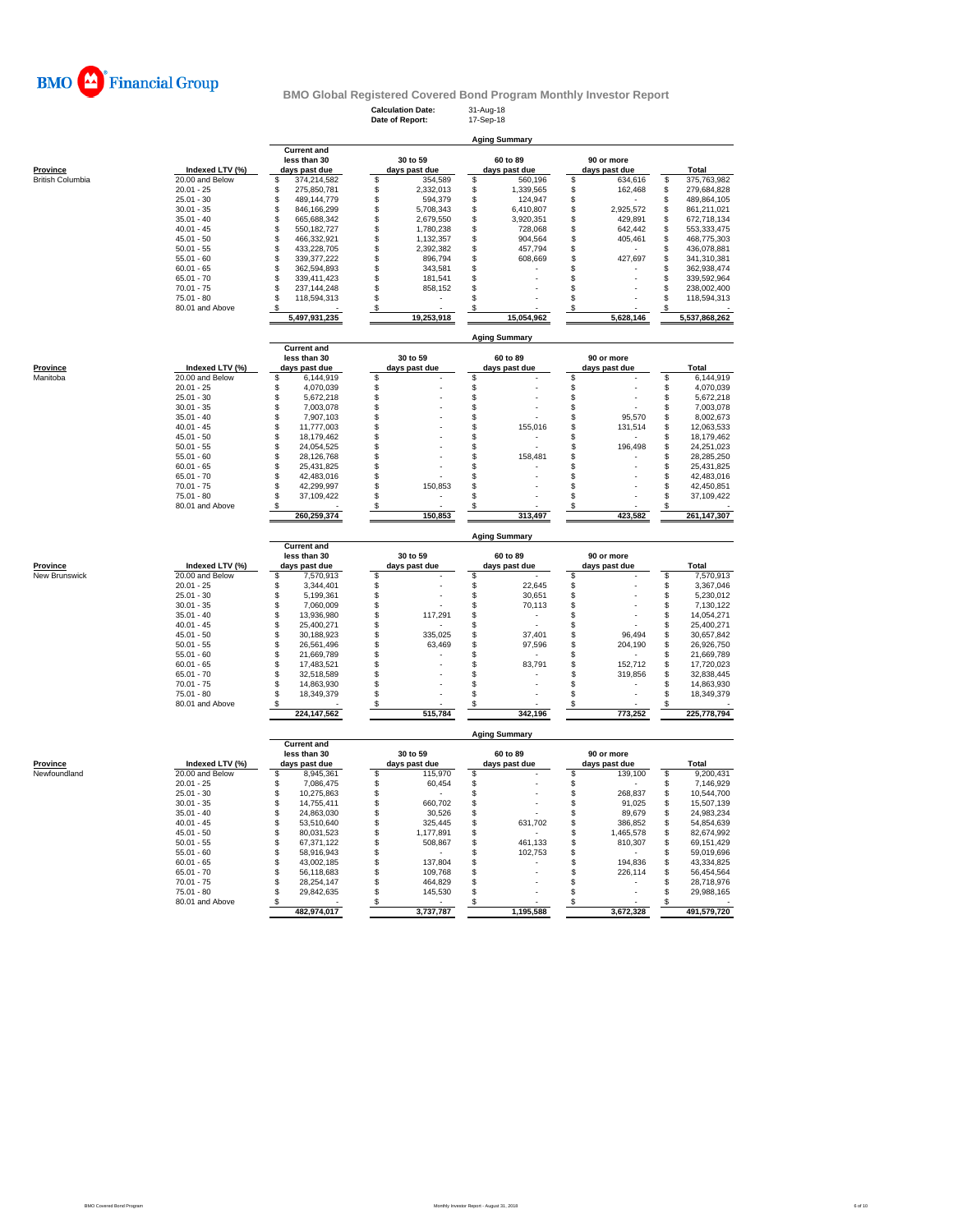

**less than 30** 30 to 59 60 to 89 90 or more<br> **less than 30** 30 to 59 **adys past due**<br> **i** 374,214,582  $\frac{304}{5}$  354,589  $\frac{304}{5}$  560,196  $\frac{4048}{5}$  5434,616<br> **i** 275,850,781  $\frac{5}{5}$  2,332,013  $\frac{5}{5}$  1,339,565

**Calculation Date:** 31-Aug-18 **Date of Report:** 17-Sep-18

**Current and**

**Aging Summary**

| Province                | Indexed LTV (%) | days past due      | days past due   |    | days past due        | days past due   | Total             |
|-------------------------|-----------------|--------------------|-----------------|----|----------------------|-----------------|-------------------|
| <b>British Columbia</b> | 20.00 and Below | \$<br>374,214,582  | \$<br>354,589   | S  | 560.196              | \$<br>634.616   | \$<br>375,763,982 |
|                         | $20.01 - 25$    | S<br>275,850,781   | \$<br>2,332,013 | S  | 1,339,565            | \$<br>162,468   | \$<br>279,684,828 |
|                         | $25.01 - 30$    | \$<br>489,144,779  | 594,379         |    | 124,947              | \$              | \$<br>489,864,105 |
|                         | $30.01 - 35$    | S<br>846,166,299   | 5,708,343       |    | 6,410,807            | \$<br>2.925.572 | \$<br>861,211,021 |
|                         | $35.01 - 40$    | 665,688,342        | 2,679,550       |    | 3,920,351            | \$<br>429,891   | \$<br>672,718,134 |
|                         | $40.01 - 45$    | 550,182,727        | 1,780,238       |    | 728,068              | \$<br>642,442   | \$<br>553,333,475 |
|                         | $45.01 - 50$    | \$<br>466,332,921  | 1,132,357       |    | 904,564              | \$<br>405,461   | \$<br>468,775,303 |
|                         | $50.01 - 55$    | \$<br>433,228,705  | 2,392,382       |    | 457,794              | \$              | \$<br>436,078,881 |
|                         | $55.01 - 60$    | S<br>339, 377, 222 | 896,794         |    | 608,669              | \$<br>427,697   | \$<br>341,310,381 |
|                         | $60.01 - 65$    | S<br>362,594,893   | 343,581         |    |                      |                 | \$<br>362,938,474 |
|                         | $65.01 - 70$    | S<br>339,411,423   | 181,541         |    |                      |                 | \$<br>339,592,964 |
|                         | $70.01 - 75$    | S<br>237, 144, 248 | 858,152         |    |                      |                 | 238,002,400       |
|                         | $75.01 - 80$    | 118,594,313        |                 |    |                      |                 | 118,594,313       |
|                         | 80.01 and Above |                    |                 |    |                      |                 |                   |
|                         |                 | 5,497,931,235      | 19,253,918      |    | 15,054,962           | 5,628,146       | 5,537,868,262     |
|                         |                 |                    |                 |    | <b>Aging Summary</b> |                 |                   |
|                         |                 | <b>Current and</b> |                 |    |                      |                 |                   |
|                         |                 | less than 30       | 30 to 59        |    | 60 to 89             | 90 or more      |                   |
| Province                | Indexed LTV (%) | days past due      | days past due   |    | days past due        | days past due   | Total             |
| Manitoba                | 20.00 and Below | 6,144,919<br>S     | \$              | \$ |                      | \$              | \$<br>6,144,919   |
|                         | $20.01 - 25$    | 4,070,039          | \$              |    |                      | \$              | \$<br>4,070,039   |
|                         | $25.01 - 30$    | 5,672,218          |                 |    |                      |                 | \$<br>5,672,218   |
|                         | $30.01 - 35$    | 7,003,078          |                 |    |                      |                 | \$<br>7,003,078   |
|                         | $35.01 - 40$    | £.<br>7,907,103    |                 |    |                      | 95.570          | \$<br>8,002,673   |
|                         | $40.01 - 45$    | \$<br>11,777,003   |                 |    | 155,016              | \$<br>131,514   | \$<br>12,063,533  |
|                         | $45.01 - 50$    | \$<br>18,179,462   |                 |    |                      | \$              | \$<br>18,179,462  |
|                         | $50.01 - 55$    | \$<br>24,054,525   |                 |    |                      | 196,498         | \$<br>24,251,023  |
|                         | $55.01 - 60$    | \$<br>28,126,768   |                 |    | 158,481              | \$              | \$<br>28,285,250  |
|                         | $60.01 - 65$    | \$<br>25,431,825   |                 |    |                      |                 | \$<br>25,431,825  |
|                         | $65.01 - 70$    | \$<br>42,483,016   |                 |    |                      |                 | \$<br>42,483,016  |
|                         | $70.01 - 75$    | \$<br>42,299,997   | 150,853         |    |                      | \$              | \$<br>42,450,851  |
|                         | $75.01 - 80$    | S<br>37,109,422    |                 |    |                      | \$              | \$<br>37,109,422  |
|                         | 80.01 and Above |                    |                 |    |                      | \$              |                   |
|                         |                 | 260,259,374        | 150,853         |    | 313,497              | 423,582         | 261,147,307       |
|                         |                 |                    |                 |    | <b>Aging Summary</b> |                 |                   |
|                         |                 |                    |                 |    |                      |                 |                   |

|          |                 |                                                     |                           | <b>Aging Summary</b>      |                             |               |
|----------|-----------------|-----------------------------------------------------|---------------------------|---------------------------|-----------------------------|---------------|
| Province | Indexed LTV (%) | <b>Current and</b><br>less than 30<br>days past due | 30 to 59<br>days past due | 60 to 89<br>days past due | 90 or more<br>days past due | Total         |
| Manitoba | 20.00 and Below | 6,144,919                                           |                           |                           |                             | 6,144,919     |
|          | $20.01 - 25$    | 4,070,039                                           |                           | ۰                         |                             | 4,070,039     |
|          | $25.01 - 30$    | 5.672.218                                           |                           | ۰                         |                             | 5,672,218     |
|          | $30.01 - 35$    | 7.003.078                                           |                           | ۰                         |                             | 7,003,078     |
|          | $35.01 - 40$    | 7.907.103                                           |                           |                           | 95,570                      | 8,002,673     |
|          | $40.01 - 45$    | 11.777.003                                          |                           | 155.016                   | 131,514                     | 12,063,533    |
|          | $45.01 - 50$    | 18.179.462                                          |                           |                           |                             | 18.179.462    |
|          | $50.01 - 55$    | 24.054.525                                          |                           |                           | 196.498                     | 24,251,023    |
|          | $55.01 - 60$    | 28.126.768                                          |                           | 158.481                   |                             | 28.285.250    |
|          | $60.01 - 65$    | 25,431,825                                          |                           |                           |                             | 25,431,825    |
|          | $65.01 - 70$    | 42.483.016                                          |                           | ۰                         |                             | 42,483,016    |
|          | $70.01 - 75$    | 42.299.997                                          | 150,853                   | ۰                         |                             | 42,450,851    |
|          | $75.01 - 80$    | 37.109.422                                          |                           | ۰                         |                             | 37,109,422    |
|          | 80.01 and Above |                                                     |                           |                           |                             |               |
|          |                 | 260,259,374                                         | 150,853                   | 313,497                   | 423.582                     | 261, 147, 307 |

|               |                 |                                                     | <b>Aging Summary</b> |                           |         |  |                           |  |                             |  |             |  |  |
|---------------|-----------------|-----------------------------------------------------|----------------------|---------------------------|---------|--|---------------------------|--|-----------------------------|--|-------------|--|--|
| Province      | Indexed LTV (%) | <b>Current and</b><br>less than 30<br>days past due |                      | 30 to 59<br>days past due |         |  | 60 to 89<br>days past due |  | 90 or more<br>days past due |  | Total       |  |  |
| New Brunswick | 20.00 and Below |                                                     | 7,570,913            |                           | ۰       |  |                           |  | ۰                           |  | 7,570,913   |  |  |
|               | $20.01 - 25$    |                                                     | 3,344,401            |                           |         |  | 22,645                    |  |                             |  | 3,367,046   |  |  |
|               | $25.01 - 30$    |                                                     | 5,199,361            |                           |         |  | 30,651                    |  |                             |  | 5,230,012   |  |  |
|               | $30.01 - 35$    |                                                     | 7.060.009            |                           |         |  | 70.113                    |  | ۰                           |  | 7.130.122   |  |  |
|               | $35.01 - 40$    |                                                     | 13.936.980           |                           | 117.291 |  |                           |  | ۰                           |  | 14.054.271  |  |  |
|               | $40.01 - 45$    |                                                     | 25.400.271           |                           |         |  |                           |  |                             |  | 25.400.271  |  |  |
|               | $45.01 - 50$    |                                                     | 30.188.923           |                           | 335,025 |  | 37.401                    |  | 96.494                      |  | 30.657.842  |  |  |
|               | $50.01 - 55$    |                                                     | 26.561.496           |                           | 63,469  |  | 97.596                    |  | 204.190                     |  | 26,926,750  |  |  |
|               | $55.01 - 60$    |                                                     | 21.669.789           |                           |         |  |                           |  |                             |  | 21,669,789  |  |  |
|               | $60.01 - 65$    |                                                     | 17.483.521           |                           |         |  | 83.791                    |  | 152.712                     |  | 17,720,023  |  |  |
|               | $65.01 - 70$    |                                                     | 32.518.589           |                           |         |  |                           |  | 319,856                     |  | 32,838,445  |  |  |
|               | $70.01 - 75$    |                                                     | 14.863.930           |                           |         |  |                           |  |                             |  | 14,863,930  |  |  |
|               | $75.01 - 80$    |                                                     | 18.349.379           |                           |         |  |                           |  | ۰                           |  | 18,349,379  |  |  |
|               | 80.01 and Above |                                                     |                      |                           |         |  |                           |  |                             |  |             |  |  |
|               |                 |                                                     | 224, 147, 562        |                           | 515.784 |  | 342.196                   |  | 773.252                     |  | 225,778,794 |  |  |

**Aging Summary**

|              |                 |               | <b>Current and</b> |               |           |               |           |               |             |
|--------------|-----------------|---------------|--------------------|---------------|-----------|---------------|-----------|---------------|-------------|
|              |                 |               | less than 30       |               | 30 to 59  |               | 60 to 89  | 90 or more    |             |
| Province     | Indexed LTV (%) | days past due |                    | days past due |           | days past due |           | days past due | Total       |
| Newfoundland | 20.00 and Below |               | 8.945.361          |               | 115,970   |               |           | 139.100       | 9.200.431   |
|              | $20.01 - 25$    |               | 7.086.475          |               | 60,454    |               |           |               | 7,146,929   |
|              | $25.01 - 30$    |               | 10.275.863         |               |           |               |           | 268.837       | 10,544,700  |
|              | $30.01 - 35$    |               | 14.755.411         |               | 660.702   |               |           | 91.025        | 15,507,139  |
|              | $35.01 - 40$    |               | 24.863.030         |               | 30.526    |               |           | 89.679        | 24,983,234  |
|              | $40.01 - 45$    |               | 53.510.640         |               | 325.445   |               | 631.702   | 386.852       | 54,854,639  |
|              | $45.01 - 50$    |               | 80.031.523         |               | 1,177,891 |               |           | 1,465,578     | 82,674,992  |
|              | $50.01 - 55$    |               | 67.371.122         |               | 508,867   |               | 461,133   | 810,307       | 69,151,429  |
|              | $55.01 - 60$    |               | 58.916.943         |               |           |               | 102.753   |               | 59.019.696  |
|              | $60.01 - 65$    |               | 43.002.185         |               | 137,804   |               |           | 194.836       | 43,334,825  |
|              | $65.01 - 70$    |               | 56.118.683         |               | 109.768   |               |           | 226.114       | 56,454,564  |
|              | $70.01 - 75$    |               | 28.254.147         |               | 464.829   |               |           |               | 28.718.976  |
|              | $75.01 - 80$    |               | 29.842.635         |               | 145,530   |               |           |               | 29.988.165  |
|              | 80.01 and Above |               |                    |               |           |               |           |               |             |
|              |                 |               | 482.974.017        |               | 3.737.787 |               | 1,195,588 | 3.672.328     | 491.579.720 |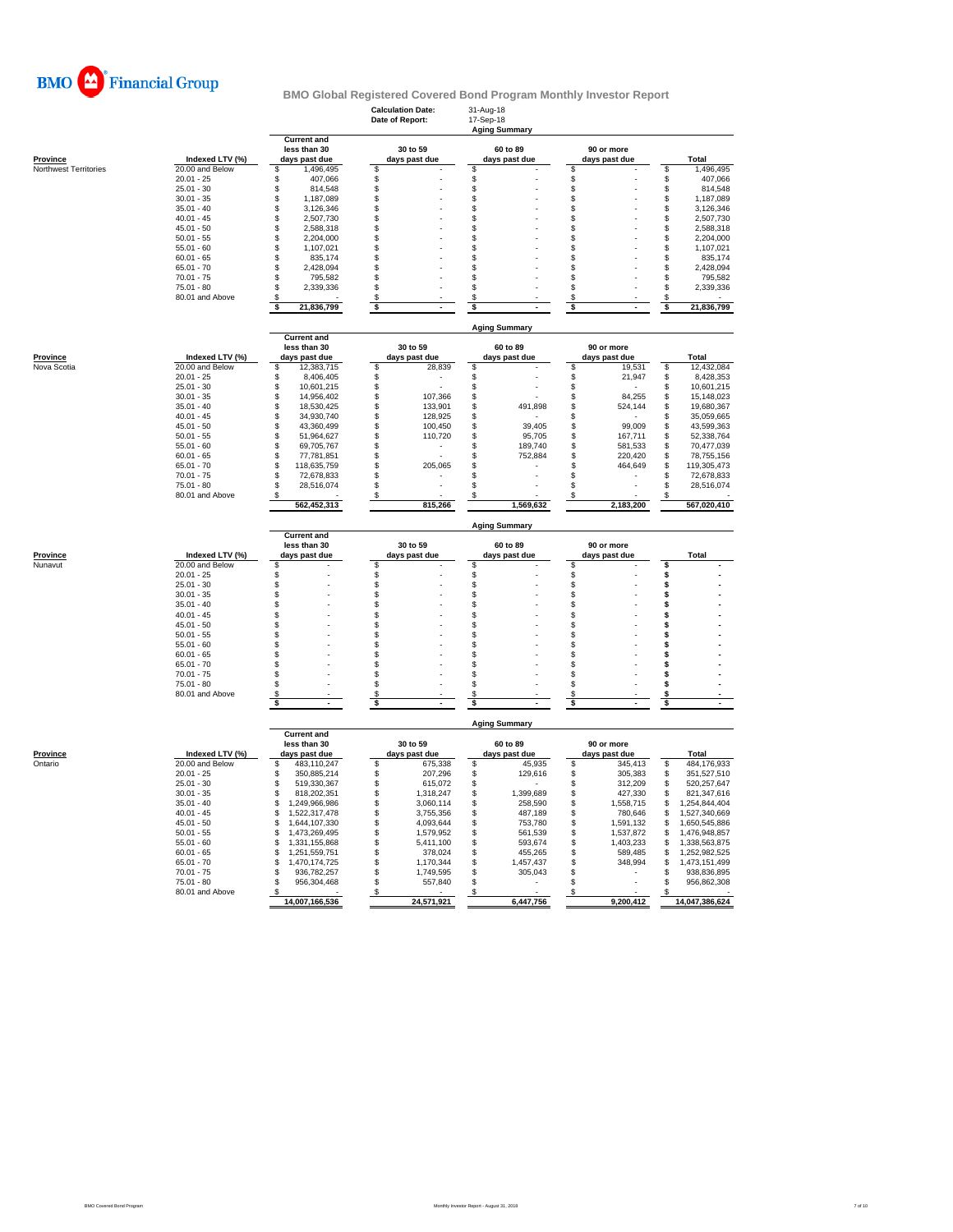

|                       |                              |                                        | <b>Calculation Date:</b><br>Date of Report: | 31-Aug-18<br>17-Sep-18<br><b>Aging Summary</b> |                                  |                                       |  |  |  |  |  |
|-----------------------|------------------------------|----------------------------------------|---------------------------------------------|------------------------------------------------|----------------------------------|---------------------------------------|--|--|--|--|--|
|                       |                              | <b>Current and</b><br>less than 30     | 30 to 59                                    | 60 to 89                                       | 90 or more                       |                                       |  |  |  |  |  |
| Province              | Indexed LTV (%)              | days past due                          | days past due                               | days past due                                  | days past due                    | Total                                 |  |  |  |  |  |
| Northwest Territories | 20.00 and Below              | 1,496,495<br>\$                        | \$                                          | \$                                             | \$                               | \$<br>1,496,495                       |  |  |  |  |  |
|                       | $20.01 - 25$<br>$25.01 - 30$ | \$<br>407,066<br>\$<br>814,548         | \$                                          | \$<br>\$                                       | \$<br>\$                         | 407,066<br>\$<br>\$<br>814,548        |  |  |  |  |  |
|                       | $30.01 - 35$                 | \$<br>1,187,089                        | \$<br>\$                                    | \$                                             | \$                               | \$<br>1,187,089                       |  |  |  |  |  |
|                       | $35.01 - 40$                 | \$<br>3,126,346                        | \$                                          | \$                                             | \$                               | 3,126,346<br>S                        |  |  |  |  |  |
|                       | $40.01 - 45$                 | \$<br>2,507,730                        | \$                                          | \$                                             | \$                               | 2,507,730<br>S                        |  |  |  |  |  |
|                       | $45.01 - 50$                 | \$<br>2,588,318                        | \$                                          | \$                                             | \$                               | \$<br>2,588,318                       |  |  |  |  |  |
|                       | $50.01 - 55$                 | \$<br>2,204,000                        | \$                                          | \$                                             | \$                               | \$<br>2,204,000                       |  |  |  |  |  |
|                       | $55.01 - 60$                 | \$<br>1,107,021                        | \$                                          | \$                                             | \$                               | 1,107,021<br>\$                       |  |  |  |  |  |
|                       | $60.01 - 65$                 | \$<br>835,174                          | \$                                          | \$                                             | \$                               | S<br>835,174                          |  |  |  |  |  |
|                       | $65.01 - 70$<br>$70.01 - 75$ | \$<br>2,428,094<br>\$<br>795,582       | \$<br>\$                                    | \$<br>\$                                       | \$<br>\$                         | 2,428,094<br>S<br>795,582<br>S        |  |  |  |  |  |
|                       | $75.01 - 80$                 | \$<br>2,339,336                        | \$                                          | \$                                             | \$                               | 2,339,336<br>\$                       |  |  |  |  |  |
|                       | 80.01 and Above              | \$                                     | \$                                          | \$                                             | \$                               | S                                     |  |  |  |  |  |
|                       |                              | \$<br>21,836,799                       | \$                                          | \$                                             | \$                               | 21,836,799<br>s                       |  |  |  |  |  |
|                       |                              |                                        |                                             |                                                |                                  |                                       |  |  |  |  |  |
|                       |                              | <b>Current and</b>                     |                                             | <b>Aging Summary</b>                           |                                  |                                       |  |  |  |  |  |
| <b>Province</b>       | Indexed LTV (%)              | less than 30<br>days past due          | 30 to 59<br>days past due                   | 60 to 89                                       | 90 or more<br>days past due      | Total                                 |  |  |  |  |  |
| Nova Scotia           | 20.00 and Below              | 12,383,715<br>\$                       | \$<br>28,839                                | days past due<br>\$                            | \$<br>19,531                     | \$<br>12,432,084                      |  |  |  |  |  |
|                       | $20.01 - 25$                 | \$<br>8,406,405                        | \$<br>×,                                    | \$                                             | \$<br>21,947                     | 8,428,353<br>S                        |  |  |  |  |  |
|                       | $25.01 - 30$                 | \$<br>10,601,215                       | \$                                          | \$                                             | \$                               | 10,601,215<br>\$                      |  |  |  |  |  |
|                       | $30.01 - 35$                 | \$<br>14,956,402                       | \$<br>107,366                               | \$                                             | 84,255<br>\$                     | \$<br>15,148,023                      |  |  |  |  |  |
|                       | $35.01 - 40$                 | \$<br>18,530,425                       | \$<br>133,901                               | \$<br>491,898                                  | \$<br>524,144                    | 19,680,367<br>\$                      |  |  |  |  |  |
|                       | $40.01 - 45$                 | \$<br>34,930,740                       | \$<br>128,925                               | \$                                             | \$                               | 35,059,665<br>\$                      |  |  |  |  |  |
|                       | $45.01 - 50$                 | \$<br>43,360,499                       | \$<br>100,450                               | \$<br>39,405                                   | \$<br>99,009                     | \$<br>43,599,363                      |  |  |  |  |  |
|                       | $50.01 - 55$<br>$55.01 - 60$ | \$<br>51,964,627<br>\$<br>69,705,767   | \$<br>110,720<br>\$                         | \$<br>95,705<br>\$<br>189,740                  | \$<br>167,711<br>\$<br>581,533   | 52,338,764<br>\$<br>70,477,039        |  |  |  |  |  |
|                       | $60.01 - 65$                 | \$<br>77,781,851                       | \$<br>J.                                    | \$<br>752,884                                  | \$<br>220,420                    | \$<br>S<br>78,755,156                 |  |  |  |  |  |
|                       | $65.01 - 70$                 | \$<br>118,635,759                      | \$<br>205,065                               | \$                                             | \$<br>464,649                    | 119,305,473<br>\$                     |  |  |  |  |  |
|                       | $70.01 - 75$                 | \$<br>72,678,833                       | \$                                          | \$                                             | \$                               | 72,678,833<br>S                       |  |  |  |  |  |
|                       | $75.01 - 80$                 | \$<br>28,516,074                       | \$                                          | \$                                             | \$                               | £.<br>28,516,074                      |  |  |  |  |  |
|                       | 80.01 and Above              | 562,452,313                            | S<br>815,266                                | 1,569,632                                      | S<br>2,183,200                   | 567,020,410                           |  |  |  |  |  |
|                       |                              |                                        |                                             | <b>Aging Summary</b>                           |                                  |                                       |  |  |  |  |  |
|                       |                              |                                        |                                             |                                                |                                  |                                       |  |  |  |  |  |
|                       |                              | <b>Current and</b>                     |                                             |                                                |                                  |                                       |  |  |  |  |  |
| Province              | Indexed LTV (%)              | less than 30<br>days past due          | 30 to 59<br>days past due                   | 60 to 89<br>days past due                      | 90 or more<br>days past due      | Total                                 |  |  |  |  |  |
| Nunavut               | 20.00 and Below              | \$                                     | \$                                          | \$                                             | \$                               | \$                                    |  |  |  |  |  |
|                       | $20.01 - 25$                 | \$                                     | \$                                          | \$                                             | \$                               | \$                                    |  |  |  |  |  |
|                       | $25.01 - 30$                 | \$                                     | \$                                          | \$                                             | \$                               | \$                                    |  |  |  |  |  |
|                       | $30.01 - 35$                 | \$                                     | \$                                          | \$                                             | \$                               | \$                                    |  |  |  |  |  |
|                       | $35.01 - 40$                 | \$                                     | \$                                          | \$                                             | \$                               | \$                                    |  |  |  |  |  |
|                       | $40.01 - 45$                 | \$                                     | \$                                          | \$                                             | \$                               | \$<br>\$                              |  |  |  |  |  |
|                       | $45.01 - 50$<br>$50.01 - 55$ | \$<br>\$                               | \$                                          | \$<br>\$                                       | \$<br>\$                         | \$                                    |  |  |  |  |  |
|                       | $55.01 - 60$                 | \$                                     | \$<br>\$                                    | \$                                             | \$                               | \$                                    |  |  |  |  |  |
|                       | $60.01 - 65$                 | \$                                     | \$                                          | \$                                             | \$                               | S                                     |  |  |  |  |  |
|                       | $65.01 - 70$                 | \$                                     | \$                                          | \$                                             | \$                               |                                       |  |  |  |  |  |
|                       | $70.01 - 75$                 | \$                                     | \$                                          | \$                                             | \$                               | \$                                    |  |  |  |  |  |
|                       | $75.01 - 80$                 | \$                                     | \$                                          | \$                                             | \$                               | \$                                    |  |  |  |  |  |
|                       | 80.01 and Above              | S<br>\$                                | S                                           | \$                                             | \$                               | s<br>\$                               |  |  |  |  |  |
|                       |                              |                                        | \$                                          | \$                                             | \$                               |                                       |  |  |  |  |  |
|                       |                              | <b>Current and</b>                     |                                             | <b>Aging Summary</b>                           |                                  |                                       |  |  |  |  |  |
|                       |                              | less than 30                           | 30 to 59                                    | 60 to 89                                       | 90 or more                       |                                       |  |  |  |  |  |
| Province              | Indexed LTV (%)              | days past due                          | days past due                               | days past due                                  | days past due                    | <b>Total</b>                          |  |  |  |  |  |
| Ontario               | $20.00$ and Below            | S<br>483,110,247                       | \$<br>675,338                               | \$<br>45,935                                   | \$<br>345,413                    | \$<br>484,176,933                     |  |  |  |  |  |
|                       | $20.01 - 25$                 | 350,885,214<br>\$                      | \$<br>207,296                               | \$<br>129,616                                  | \$<br>305,383                    | 351,527,510<br>\$                     |  |  |  |  |  |
|                       | $25.01 - 30$<br>$30.01 - 35$ | \$<br>519,330,367<br>\$                | \$<br>615,072                               | \$                                             | \$<br>312,209                    | 520,257,647<br>\$<br>\$               |  |  |  |  |  |
|                       | $35.01 - 40$                 | 818,202,351<br>\$<br>1,249,966,986     | \$<br>1,318,247<br>\$<br>3,060,114          | \$<br>1,399,689<br>\$<br>258,590               | \$<br>427,330<br>\$<br>1,558,715 | 821,347,616<br>1,254,844,404<br>S     |  |  |  |  |  |
|                       | $40.01 - 45$                 | S<br>1,522,317,478                     | \$<br>3,755,356                             | \$<br>487,189                                  | \$<br>780,646                    | \$<br>1,527,340,669                   |  |  |  |  |  |
|                       | $45.01 - 50$                 | \$<br>1,644,107,330                    | \$<br>4,093,644                             | \$<br>753,780                                  | \$<br>1,591,132                  | \$<br>1,650,545,886                   |  |  |  |  |  |
|                       | $50.01 - 55$                 | 1,473,269,495<br>\$                    | \$<br>1,579,952                             | \$<br>561,539                                  | \$<br>1,537,872                  | 1,476,948,857<br>\$                   |  |  |  |  |  |
|                       | $55.01 - 60$                 | \$<br>1,331,155,868                    | \$<br>5,411,100                             | \$<br>593,674                                  | \$<br>1,403,233                  | \$<br>1,338,563,875                   |  |  |  |  |  |
|                       | $60.01 - 65$                 | \$<br>1,251,559,751                    | \$<br>378,024                               | \$<br>455,265                                  | \$<br>589,485                    | 1,252,982,525<br>\$                   |  |  |  |  |  |
|                       | $65.01 - 70$                 | \$<br>1,470,174,725                    | \$<br>1,170,344                             | \$<br>1,457,437                                | \$<br>348,994                    | 1,473,151,499<br>\$                   |  |  |  |  |  |
|                       | $70.01 - 75$<br>$75.01 - 80$ | \$<br>936.782.257<br>956,304,468<br>\$ | \$<br>1,749,595<br>\$                       | \$<br>305,043<br>\$                            | \$<br>\$                         | 938,836,895<br>\$<br>956,862,308<br>S |  |  |  |  |  |
|                       | 80.01 and Above              | S                                      | 557,840<br>S                                | S                                              | \$                               | S                                     |  |  |  |  |  |
|                       |                              | 14,007,166,536                         | 24,571,921                                  | 6,447,756                                      | 9,200,412                        | 14,047,386,624                        |  |  |  |  |  |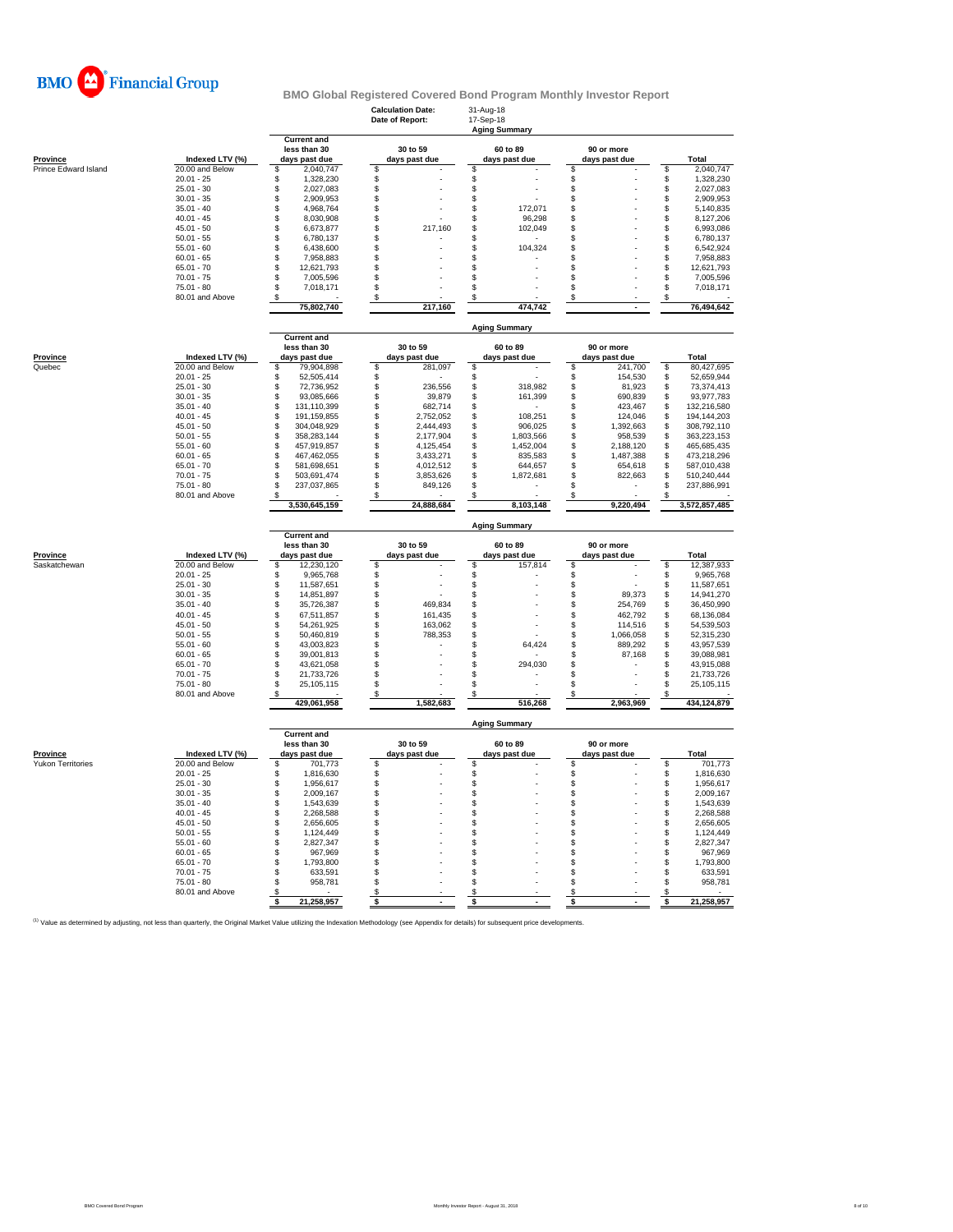

|                          |                                 |                                                     | <b>Calculation Date:</b><br>Date of Report: |                           | 31-Aug-18<br>17-Sep-18 | <b>Aging Summary</b>      |                             |                      |          |                          |  |  |
|--------------------------|---------------------------------|-----------------------------------------------------|---------------------------------------------|---------------------------|------------------------|---------------------------|-----------------------------|----------------------|----------|--------------------------|--|--|
| Province                 | Indexed LTV (%)                 | <b>Current and</b><br>less than 30<br>days past due |                                             | 30 to 59<br>days past due |                        | 60 to 89<br>days past due | 90 or more<br>days past due |                      |          | Total                    |  |  |
| Prince Edward Island     | 20.00 and Below                 | \$<br>2,040,747                                     | \$                                          |                           | \$                     |                           | \$                          |                      | \$       | 2,040,747                |  |  |
|                          | $20.01 - 25$                    | \$<br>1,328,230                                     | \$                                          |                           | \$                     |                           | \$                          |                      | \$       | 1,328,230                |  |  |
|                          | $25.01 - 30$                    | \$<br>2,027,083                                     | $\mathbb S$                                 |                           | \$                     |                           | \$                          |                      | \$       | 2,027,083                |  |  |
|                          | $30.01 - 35$                    | \$<br>2,909,953                                     | $\mathsf{\$}$                               |                           | \$                     |                           | \$                          |                      | \$       | 2,909,953                |  |  |
|                          | $35.01 - 40$<br>$40.01 - 45$    | \$<br>4,968,764<br>8,030,908                        | \$<br><b>S</b>                              |                           | \$                     | 172,071                   | \$                          |                      | \$       | 5,140,835                |  |  |
|                          | $45.01 - 50$                    | \$<br>\$<br>6,673,877                               | \$                                          | 217,160                   | \$<br>\$               | 96,298<br>102,049         | \$<br>\$                    |                      | \$<br>\$ | 8,127,206<br>6,993,086   |  |  |
|                          | $50.01 - 55$                    | \$<br>6,780,137                                     | \$                                          |                           | \$                     |                           | \$                          |                      | \$       | 6,780,137                |  |  |
|                          | $55.01 - 60$                    | \$<br>6,438,600                                     | \$                                          |                           | \$                     | 104,324                   | \$                          |                      | \$       | 6,542,924                |  |  |
|                          | $60.01 - 65$                    | \$<br>7,958,883                                     | \$                                          |                           | \$                     |                           | \$                          |                      | \$       | 7,958,883                |  |  |
|                          | $65.01 - 70$                    | \$<br>12,621,793                                    | \$                                          |                           | \$                     |                           | \$                          |                      | \$       | 12.621.793               |  |  |
|                          | $70.01 - 75$                    | \$<br>7,005,596                                     | \$                                          |                           | \$                     |                           | \$                          |                      | \$       | 7,005,596                |  |  |
|                          | $75.01 - 80$                    | \$<br>7,018,171                                     | \$                                          |                           | \$                     |                           | \$                          |                      | \$       | 7,018,171                |  |  |
|                          | 80.01 and Above                 | \$                                                  | \$                                          |                           | S                      |                           | \$                          |                      | \$       |                          |  |  |
|                          |                                 | 75,802,740                                          |                                             | 217,160                   |                        | 474,742                   |                             |                      |          | 76,494,642               |  |  |
|                          |                                 | <b>Current and</b>                                  |                                             |                           |                        | <b>Aging Summary</b>      |                             |                      |          |                          |  |  |
|                          |                                 | less than 30                                        |                                             | 30 to 59                  |                        | 60 to 89                  |                             | 90 or more           |          |                          |  |  |
| Province                 | Indexed LTV (%)                 | days past due                                       |                                             | days past due             |                        | days past due             |                             | days past due        |          | Total                    |  |  |
| Quebec                   | 20.00 and Below                 | \$<br>79.904.898                                    | -S                                          | 281,097                   | \$                     |                           | \$                          | 241,700              | \$       | 80,427,695               |  |  |
|                          | $20.01 - 25$<br>$25.01 - 30$    | \$<br>52,505,414                                    | \$                                          | 236,556                   | \$<br>\$               | 318,982                   | \$<br>\$                    | 154,530<br>81,923    | \$<br>\$ | 52,659,944               |  |  |
|                          | $30.01 - 35$                    | \$<br>72,736,952<br>\$<br>93.085.666                | \$<br>\$                                    | 39,879                    | \$                     | 161,399                   | \$                          | 690.839              | \$       | 73,374,413<br>93.977.783 |  |  |
|                          | $35.01 - 40$                    | \$<br>131,110,399                                   | \$                                          | 682,714                   | \$                     |                           | \$                          | 423,467              | \$       | 132,216,580              |  |  |
|                          | $40.01 - 45$                    | \$<br>191,159,855                                   | \$                                          | 2,752,052                 | \$                     | 108,251                   | \$                          | 124,046              | \$       | 194,144,203              |  |  |
|                          | $45.01 - 50$                    | \$<br>304,048,929                                   | \$                                          | 2,444,493                 | \$                     | 906.025                   | \$                          | 1,392,663            | \$       | 308,792,110              |  |  |
|                          | $50.01 - 55$                    | \$<br>358,283,144                                   | \$                                          | 2,177,904                 | \$                     | 1,803,566                 | \$                          | 958,539              | \$       | 363,223,153              |  |  |
|                          | $55.01 - 60$                    | \$<br>457,919,857                                   | \$                                          | 4,125,454                 | \$                     | 1,452,004                 | \$                          | 2,188,120            | \$       | 465,685,435              |  |  |
|                          | $60.01 - 65$                    | \$<br>467.462.055                                   | \$                                          | 3.433.271                 | \$                     | 835,583                   | \$                          | 1,487,388            | \$       | 473,218,296              |  |  |
|                          | $65.01 - 70$                    | \$<br>581,698,651                                   | \$                                          | 4,012,512                 | S                      | 644,657                   | \$                          | 654,618              | \$       | 587,010,438              |  |  |
|                          | $70.01 - 75$                    | \$<br>503,691,474                                   | \$                                          | 3,853,626                 | S                      | 1,872,681                 | S                           | 822,663              | \$       | 510,240,444              |  |  |
|                          | $75.01 - 80$<br>80.01 and Above | \$<br>237,037,865                                   | \$<br>\$                                    | 849,126                   | \$<br>\$               |                           | \$<br>\$                    |                      | \$       | 237,886,991              |  |  |
|                          |                                 | 3,530,645,159                                       |                                             | 24,888,684                |                        | 8,103,148                 |                             | 9,220,494            |          | 3,572,857,485            |  |  |
|                          |                                 |                                                     |                                             |                           |                        | <b>Aging Summary</b>      |                             |                      |          |                          |  |  |
|                          |                                 | <b>Current and</b><br>less than 30                  |                                             | 30 to 59                  |                        | 60 to 89                  |                             | 90 or more           |          |                          |  |  |
| Province                 | Indexed LTV (%)                 | days past due                                       |                                             | days past due             |                        | days past due             |                             | days past due        |          | <b>Total</b>             |  |  |
| Saskatchewan             | 20.00 and Below                 | \$<br>12,230,120                                    | \$                                          |                           | \$                     | 157,814                   | \$                          |                      | \$       | 12,387,933               |  |  |
|                          | $20.01 - 25$                    | \$<br>9.965.768                                     | \$                                          |                           | \$                     |                           | \$                          |                      | \$       | 9,965,768                |  |  |
|                          | $25.01 - 30$                    | \$<br>11,587,651                                    | \$                                          |                           | \$                     |                           | \$                          |                      | \$       | 11,587,651               |  |  |
|                          | $30.01 - 35$                    | \$<br>14,851,897                                    | \$                                          |                           | \$                     |                           | \$                          | 89,373               | \$       | 14,941,270               |  |  |
|                          | $35.01 - 40$                    | \$<br>35,726,387                                    | \$                                          | 469,834                   | \$                     |                           | \$                          | 254,769              | \$       | 36,450,990               |  |  |
|                          | $40.01 - 45$                    | \$<br>67,511,857                                    | \$                                          | 161,435                   | \$                     |                           | \$                          | 462,792              | \$       | 68,136,084               |  |  |
|                          | $45.01 - 50$<br>$50.01 - 55$    | \$<br>54,261,925<br>\$<br>50,460,819                | \$<br>\$                                    | 163,062<br>788,353        | \$<br>\$               |                           | \$<br>\$                    | 114,516<br>1,066,058 | \$<br>\$ | 54,539,503<br>52,315,230 |  |  |
|                          | $55.01 - 60$                    | \$<br>43,003,823                                    | \$                                          |                           | S                      | 64,424                    | \$                          | 889,292              | \$       | 43,957,539               |  |  |
|                          | $60.01 - 65$                    | \$<br>39,001,813                                    | \$                                          |                           | \$                     |                           | \$                          | 87,168               | \$       | 39,088,981               |  |  |
|                          | $65.01 - 70$                    | \$<br>43,621,058                                    | \$                                          |                           | \$                     | 294,030                   | \$                          |                      | \$       | 43,915,088               |  |  |
|                          | $70.01 - 75$                    | \$<br>21,733,726                                    | \$                                          |                           | \$                     |                           | \$                          |                      | \$       | 21,733,726               |  |  |
|                          | $75.01 - 80$<br>80.01 and Above | \$<br>25,105,115<br>S                               | \$<br>\$                                    |                           | \$<br>\$               |                           | \$<br>\$                    |                      | \$<br>\$ | 25,105,115               |  |  |
|                          |                                 | 429,061,958                                         |                                             | 1,582,683                 |                        | 516,268                   |                             | 2,963,969            |          | 434,124,879              |  |  |
|                          |                                 | <b>Current and</b>                                  |                                             |                           |                        | <b>Aging Summary</b>      |                             |                      |          |                          |  |  |
|                          |                                 | less than 30                                        |                                             | 30 to 59                  |                        | 60 to 89                  |                             | 90 or more           |          |                          |  |  |
| <b>Province</b>          | Indexed LTV (%)                 | days past due                                       |                                             | days past due             |                        | days past due             |                             | days past due        |          | Total                    |  |  |
| <b>Yukon Territories</b> | 20.00 and Below                 | \$<br>701,773                                       | \$                                          |                           | \$                     |                           | \$                          |                      | \$       | 701,773                  |  |  |
|                          | $20.01 - 25$                    | \$<br>1,816,630                                     | \$                                          |                           | \$                     |                           | \$                          |                      | \$       | 1,816,630                |  |  |
|                          | $25.01 - 30$                    | \$<br>1,956,617                                     | $\mathbb S$                                 |                           | \$                     |                           | \$                          |                      | \$       | 1,956,617                |  |  |
|                          | $30.01 - 35$                    | \$<br>2,009,167                                     | \$                                          |                           | \$                     |                           | \$                          |                      | \$       | 2,009,167                |  |  |
|                          | $35.01 - 40$<br>$40.01 - 45$    | \$<br>1,543,639<br>\$<br>2,268,588                  | \$<br>\$                                    |                           | \$<br>\$               |                           | \$<br>\$                    |                      | \$<br>\$ | 1,543,639<br>2,268,588   |  |  |
|                          | $45.01 - 50$                    | \$<br>2,656,605                                     | \$                                          |                           | \$                     |                           | \$                          |                      | \$       | 2,656,605                |  |  |
|                          | $50.01 - 55$                    | \$<br>1,124,449                                     | \$                                          |                           | \$                     |                           | \$                          |                      | \$       | 1,124,449                |  |  |
|                          | $55.01 - 60$                    | \$<br>2,827,347                                     | \$                                          |                           | \$                     |                           | \$                          |                      | \$       | 2,827,347                |  |  |
|                          | $60.01 - 65$                    | \$<br>967,969                                       | \$                                          |                           | \$                     |                           | \$                          |                      | \$       | 967,969                  |  |  |
|                          | $65.01 - 70$                    | \$<br>1,793,800                                     | \$                                          |                           | \$                     |                           | \$                          |                      | \$       | 1,793,800                |  |  |
|                          | $70.01 - 75$                    | \$<br>633,591                                       | \$                                          |                           | \$                     |                           | \$                          |                      | \$       | 633,591                  |  |  |
|                          | $75.01 - 80$                    | 958,781<br>S                                        | \$                                          |                           | \$                     |                           | \$                          |                      | \$       | 958,781                  |  |  |
|                          | 80.01 and Above                 | \$.<br>21,258,957<br>s                              | \$<br>\$                                    |                           | \$<br>\$               |                           | \$<br>\$                    |                      | \$<br>\$ | 21,258,957               |  |  |
|                          |                                 |                                                     |                                             |                           |                        |                           |                             |                      |          |                          |  |  |

<sup>(1)</sup> Value as determined by adjusting, not less than quarterly, the Original Market Value utilizing the Indexation Methodology (see Appendix for details) for subsequent price developments.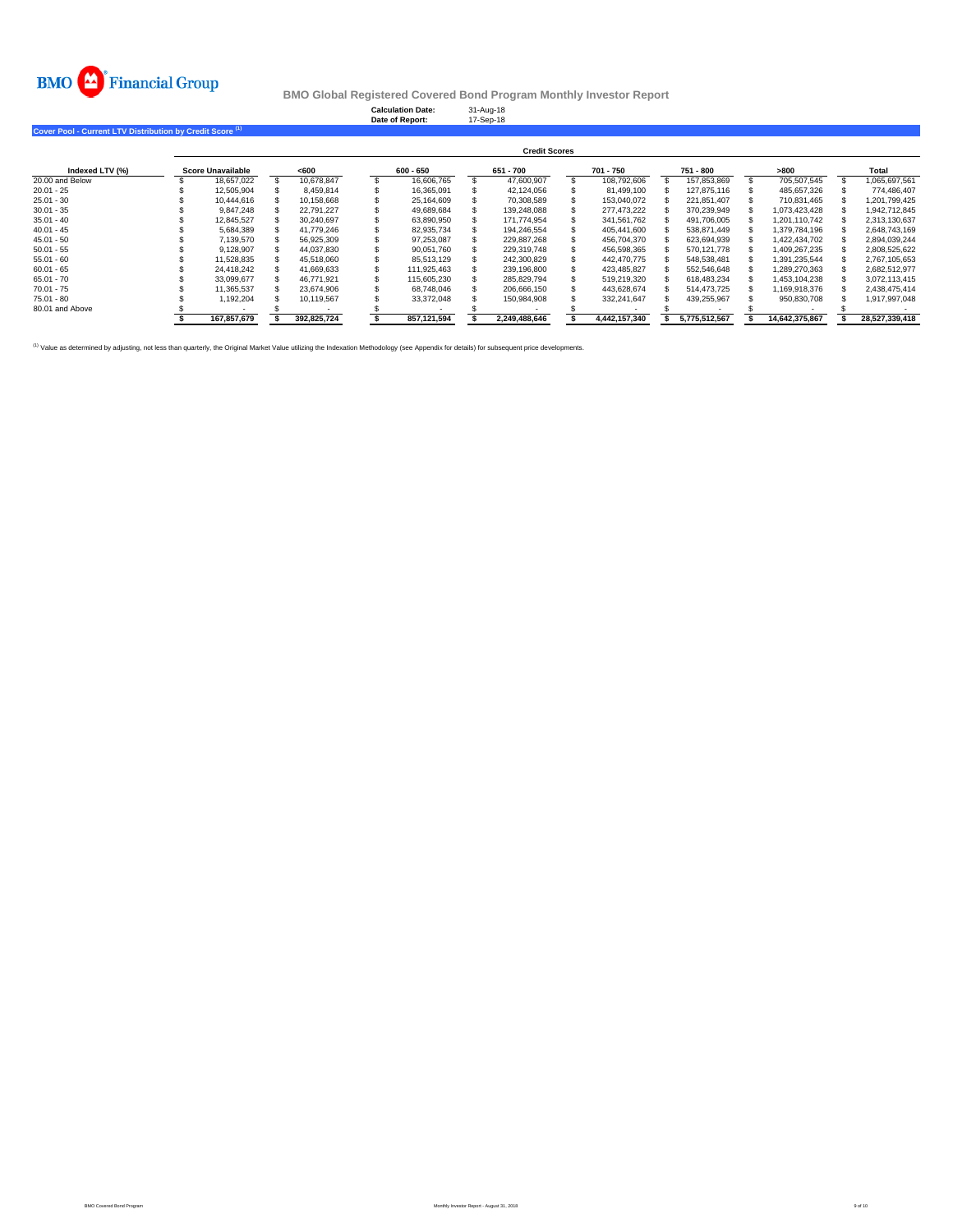

**Calculation Date:** 31-Aug-18 **Date of Report:** 17-Sep-18

**Cover Pool - Current LTV Distribution by Credit Score (1)**

|                 | <b>Credit Scores</b> |  |             |  |             |  |               |  |               |  |               |  |                |  |                |
|-----------------|----------------------|--|-------------|--|-------------|--|---------------|--|---------------|--|---------------|--|----------------|--|----------------|
| Indexed LTV (%) | Score Unavailable    |  | < 600       |  | $600 - 650$ |  | 651 - 700     |  | 701 - 750     |  | 751 - 800     |  | >800           |  | Total          |
| 20.00 and Below | 18.657.022           |  | 10.678.847  |  | 16.606.765  |  | 47.600.907    |  | 108.792.606   |  | 157.853.869   |  | 705.507.545    |  | 1.065.697.561  |
| $20.01 - 25$    | 12.505.904           |  | 8.459.814   |  | 16.365.091  |  | 42.124.056    |  | 81.499.100    |  | 127.875.116   |  | 485.657.326    |  | 774.486.407    |
| $25.01 - 30$    | 10.444.616           |  | 10.158.668  |  | 25.164.609  |  | 70.308.589    |  | 153.040.072   |  | 221.851.407   |  | 710.831.465    |  | 1.201.799.425  |
| $30.01 - 35$    | 9.847.248            |  | 22.791.227  |  | 49.689.684  |  | 139.248.088   |  | 277.473.222   |  | 370.239.949   |  | 1.073.423.428  |  | 1.942.712.845  |
| $35.01 - 40$    | 12.845.527           |  | 30.240.697  |  | 63.890.950  |  | 171.774.954   |  | 341.561.762   |  | 491.706.005   |  | 1.201.110.742  |  | 2,313,130,637  |
| $40.01 - 45$    | 5.684.389            |  | 41.779.246  |  | 82.935.734  |  | 194.246.554   |  | 405.441.600   |  | 538.871.449   |  | 1.379.784.196  |  | 2.648.743.169  |
| $45.01 - 50$    | 7.139.570            |  | 56.925.309  |  | 97.253.087  |  | 229.887.268   |  | 456.704.370   |  | 623.694.939   |  | 1.422.434.702  |  | 2.894.039.244  |
| $50.01 - 55$    | 9,128,907            |  | 44.037.830  |  | 90.051.760  |  | 229.319.748   |  | 456.598.365   |  | 570.121.778   |  | 1.409.267.235  |  | 2,808,525,622  |
| $55.01 - 60$    | 11.528.835           |  | 45.518.060  |  | 85.513.129  |  | 242.300.829   |  | 442.470.775   |  | 548.538.481   |  | 1.391.235.544  |  | 2.767.105.653  |
| $60.01 - 65$    | 24.418.242           |  | 41.669.633  |  | 111.925.463 |  | 239.196.800   |  | 423.485.827   |  | 552.546.648   |  | 1.289.270.363  |  | 2.682.512.977  |
| $65.01 - 70$    | 33.099.677           |  | 46.771.921  |  | 115.605.230 |  | 285.829.794   |  | 519.219.320   |  | 618.483.234   |  | 1.453.104.238  |  | 3.072.113.415  |
| $70.01 - 75$    | 11.365.537           |  | 23.674.906  |  | 68.748.046  |  | 206.666.150   |  | 443.628.674   |  | 514.473.725   |  | 1.169.918.376  |  | 2.438.475.414  |
| $75.01 - 80$    | 1.192.204            |  | 10.119.567  |  | 33.372.048  |  | 150.984.908   |  | 332.241.647   |  | 439.255.967   |  | 950.830.708    |  | 1.917.997.048  |
| 80.01 and Above |                      |  |             |  |             |  |               |  |               |  |               |  |                |  |                |
|                 | 167.857.679          |  | 392.825.724 |  | 857.121.594 |  | 2.249.488.646 |  | 4.442.157.340 |  | 5.775.512.567 |  | 14.642.375.867 |  | 28.527.339.418 |

<sup>(1)</sup> Value as determined by adjusting, not less than quarterly, the Original Market Value utilizing the Indexation Methodology (see Appendix for details) for subsequent price developments.